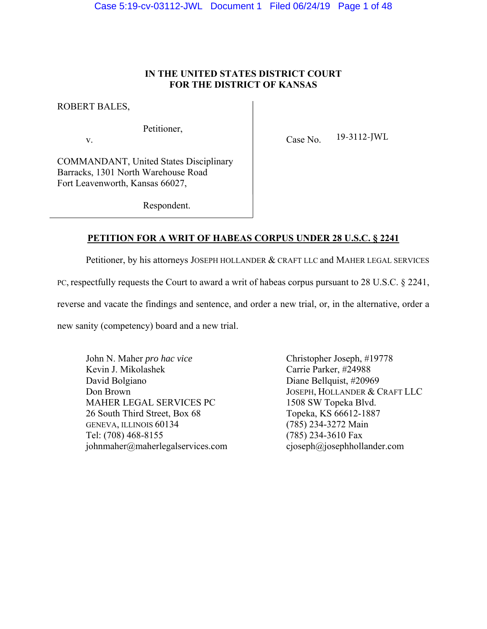## **IN THE UNITED STATES DISTRICT COURT FOR THE DISTRICT OF KANSAS**

ROBERT BALES,

Petitioner,

v. Case No. 19-3112-JWL

COMMANDANT, United States Disciplinary Barracks, 1301 North Warehouse Road Fort Leavenworth, Kansas 66027,

Respondent.

## **PETITION FOR A WRIT OF HABEAS CORPUS UNDER 28 U.S.C. § 2241**

Petitioner, by his attorneys JOSEPH HOLLANDER & CRAFT LLC and MAHER LEGAL SERVICES

PC, respectfully requests the Court to award a writ of habeas corpus pursuant to 28 U.S.C. § 2241,

reverse and vacate the findings and sentence, and order a new trial, or, in the alternative, order a

new sanity (competency) board and a new trial.

John N. Maher *pro hac vice* Christopher Joseph, #19778 Kevin J. Mikolashek Carrie Parker, #24988 David Bolgiano Diane Bellquist, #20969 Don Brown JOSEPH, HOLLANDER & CRAFT LLC MAHER LEGAL SERVICES PC 1508 SW Topeka Blvd. 26 South Third Street, Box 68 Topeka, KS 66612-1887 GENEVA, ILLINOIS 60134 (785) 234-3272 Main Tel: (708) 468-8155 (785) 234-3610 Fax johnmaher@maherlegalservices.com cjoseph@josephhollander.com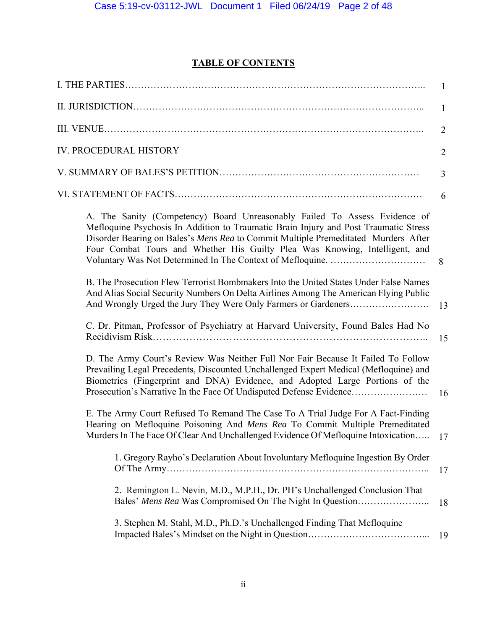# **TABLE OF CONTENTS**

|                                                                                                                                                                                                                                                                                                                                         | $\mathbf{1}$   |
|-----------------------------------------------------------------------------------------------------------------------------------------------------------------------------------------------------------------------------------------------------------------------------------------------------------------------------------------|----------------|
|                                                                                                                                                                                                                                                                                                                                         | 1              |
|                                                                                                                                                                                                                                                                                                                                         | $\overline{2}$ |
| <b>IV. PROCEDURAL HISTORY</b>                                                                                                                                                                                                                                                                                                           | $\overline{2}$ |
|                                                                                                                                                                                                                                                                                                                                         | 3              |
|                                                                                                                                                                                                                                                                                                                                         | 6              |
| A. The Sanity (Competency) Board Unreasonably Failed To Assess Evidence of<br>Mefloquine Psychosis In Addition to Traumatic Brain Injury and Post Traumatic Stress<br>Disorder Bearing on Bales's Mens Rea to Commit Multiple Premeditated Murders After<br>Four Combat Tours and Whether His Guilty Plea Was Knowing, Intelligent, and | 8              |
| B. The Prosecution Flew Terrorist Bombmakers Into the United States Under False Names<br>And Alias Social Security Numbers On Delta Airlines Among The American Flying Public                                                                                                                                                           | 13             |
| C. Dr. Pitman, Professor of Psychiatry at Harvard University, Found Bales Had No                                                                                                                                                                                                                                                        | 15             |
| D. The Army Court's Review Was Neither Full Nor Fair Because It Failed To Follow<br>Prevailing Legal Precedents, Discounted Unchallenged Expert Medical (Mefloquine) and<br>Biometrics (Fingerprint and DNA) Evidence, and Adopted Large Portions of the<br>Prosecution's Narrative In the Face Of Undisputed Defense Evidence          | 16             |
| E. The Army Court Refused To Remand The Case To A Trial Judge For A Fact-Finding<br>Hearing on Mefloquine Poisoning And Mens Rea To Commit Multiple Premeditated<br>Murders In The Face Of Clear And Unchallenged Evidence Of Mefloquine Intoxication                                                                                   | 17             |
| 1. Gregory Rayho's Declaration About Involuntary Mefloquine Ingestion By Order                                                                                                                                                                                                                                                          | 17             |
| 2. Remington L. Nevin, M.D., M.P.H., Dr. PH's Unchallenged Conclusion That<br>Bales' Mens Rea Was Compromised On The Night In Question                                                                                                                                                                                                  | 18             |
| 3. Stephen M. Stahl, M.D., Ph.D.'s Unchallenged Finding That Mefloquine                                                                                                                                                                                                                                                                 | 19             |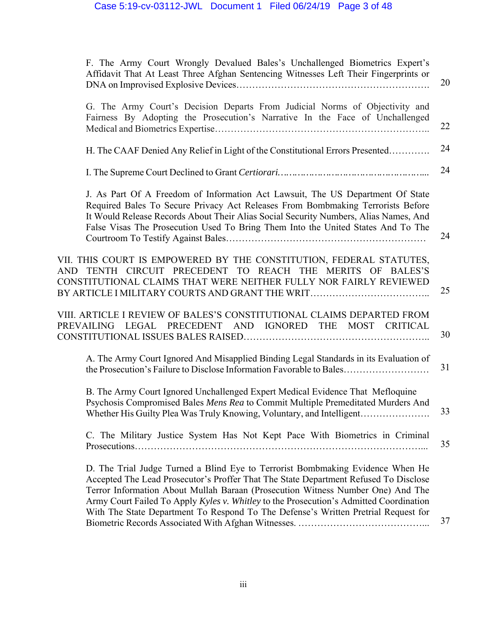| F. The Army Court Wrongly Devalued Bales's Unchallenged Biometrics Expert's<br>Affidavit That At Least Three Afghan Sentencing Witnesses Left Their Fingerprints or                                                                                                                                                                                                                                                                       | 20 |
|-------------------------------------------------------------------------------------------------------------------------------------------------------------------------------------------------------------------------------------------------------------------------------------------------------------------------------------------------------------------------------------------------------------------------------------------|----|
| G. The Army Court's Decision Departs From Judicial Norms of Objectivity and<br>Fairness By Adopting the Prosecution's Narrative In the Face of Unchallenged                                                                                                                                                                                                                                                                               | 22 |
| H. The CAAF Denied Any Relief in Light of the Constitutional Errors Presented                                                                                                                                                                                                                                                                                                                                                             | 24 |
|                                                                                                                                                                                                                                                                                                                                                                                                                                           | 24 |
| J. As Part Of A Freedom of Information Act Lawsuit, The US Department Of State<br>Required Bales To Secure Privacy Act Releases From Bombmaking Terrorists Before<br>It Would Release Records About Their Alias Social Security Numbers, Alias Names, And<br>False Visas The Prosecution Used To Bring Them Into the United States And To The                                                                                             | 24 |
| VII. THIS COURT IS EMPOWERED BY THE CONSTITUTION, FEDERAL STATUTES,<br>AND TENTH CIRCUIT PRECEDENT TO REACH THE MERITS OF BALES'S<br>CONSTITUTIONAL CLAIMS THAT WERE NEITHER FULLY NOR FAIRLY REVIEWED<br>BY ARTICLE I MILITARY COURTS AND GRANT THE WRIT                                                                                                                                                                                 | 25 |
| VIII. ARTICLE I REVIEW OF BALES'S CONSTITUTIONAL CLAIMS DEPARTED FROM<br>PREVAILING LEGAL PRECEDENT AND IGNORED THE MOST CRITICAL                                                                                                                                                                                                                                                                                                         | 30 |
| A. The Army Court Ignored And Misapplied Binding Legal Standards in its Evaluation of<br>the Prosecution's Failure to Disclose Information Favorable to Bales                                                                                                                                                                                                                                                                             | 31 |
| B. The Army Court Ignored Unchallenged Expert Medical Evidence That Mefloquine<br>Psychosis Compromised Bales Mens Rea to Commit Multiple Premeditated Murders And<br>Whether His Guilty Plea Was Truly Knowing, Voluntary, and Intelligent                                                                                                                                                                                               | 33 |
| C. The Military Justice System Has Not Kept Pace With Biometrics in Criminal                                                                                                                                                                                                                                                                                                                                                              | 35 |
| D. The Trial Judge Turned a Blind Eye to Terrorist Bombmaking Evidence When He<br>Accepted The Lead Prosecutor's Proffer That The State Department Refused To Disclose<br>Terror Information About Mullah Baraan (Prosecution Witness Number One) And The<br>Army Court Failed To Apply Kyles v. Whitley to the Prosecution's Admitted Coordination<br>With The State Department To Respond To The Defense's Written Pretrial Request for |    |
|                                                                                                                                                                                                                                                                                                                                                                                                                                           | 37 |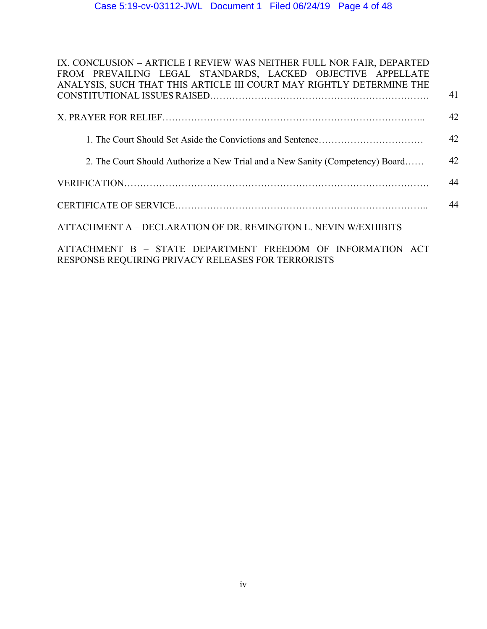| IX. CONCLUSION - ARTICLE I REVIEW WAS NEITHER FULL NOR FAIR, DEPARTED                                            |    |
|------------------------------------------------------------------------------------------------------------------|----|
| FROM PREVAILING LEGAL STANDARDS, LACKED OBJECTIVE APPELLATE                                                      |    |
| ANALYSIS, SUCH THAT THIS ARTICLE III COURT MAY RIGHTLY DETERMINE THE                                             |    |
|                                                                                                                  | 41 |
|                                                                                                                  | 42 |
|                                                                                                                  | 42 |
|                                                                                                                  |    |
| 2. The Court Should Authorize a New Trial and a New Sanity (Competency) Board                                    | 42 |
|                                                                                                                  | 44 |
|                                                                                                                  | 44 |
| ATTACHMENT A – DECLARATION OF DR. REMINGTON L. NEVIN W/EXHIBITS                                                  |    |
| ATTACHMENT B - STATE DEPARTMENT FREEDOM OF INFORMATION ACT<br>RESPONSE REQUIRING PRIVACY RELEASES FOR TERRORISTS |    |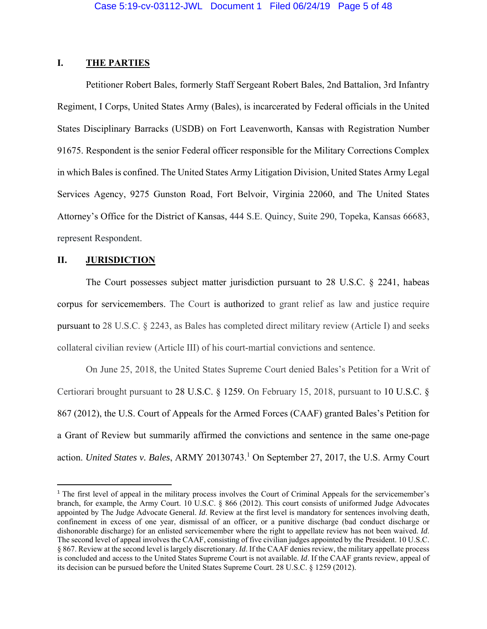### **I. THE PARTIES**

 Petitioner Robert Bales, formerly Staff Sergeant Robert Bales, 2nd Battalion, 3rd Infantry Regiment, I Corps, United States Army (Bales), is incarcerated by Federal officials in the United States Disciplinary Barracks (USDB) on Fort Leavenworth, Kansas with Registration Number 91675. Respondent is the senior Federal officer responsible for the Military Corrections Complex in which Bales is confined. The United States Army Litigation Division, United States Army Legal Services Agency, 9275 Gunston Road, Fort Belvoir, Virginia 22060, and The United States Attorney's Office for the District of Kansas, 444 S.E. Quincy, Suite 290, Topeka, Kansas 66683, represent Respondent.

### **II. JURISDICTION**

 The Court possesses subject matter jurisdiction pursuant to 28 U.S.C. § 2241, habeas corpus for servicemembers. The Court is authorized to grant relief as law and justice require pursuant to 28 U.S.C. § 2243, as Bales has completed direct military review (Article I) and seeks collateral civilian review (Article III) of his court-martial convictions and sentence.

 On June 25, 2018, the United States Supreme Court denied Bales's Petition for a Writ of Certiorari brought pursuant to 28 U.S.C. § 1259. On February 15, 2018, pursuant to 10 U.S.C. § 867 (2012), the U.S. Court of Appeals for the Armed Forces (CAAF) granted Bales's Petition for a Grant of Review but summarily affirmed the convictions and sentence in the same one-page action. *United States v. Bales*, ARMY 20130743.<sup>1</sup> On September 27, 2017, the U.S. Army Court

<sup>&</sup>lt;sup>1</sup> The first level of appeal in the military process involves the Court of Criminal Appeals for the servicemember's branch, for example, the Army Court. 10 U.S.C. § 866 (2012). This court consists of uniformed Judge Advocates appointed by The Judge Advocate General. *Id*. Review at the first level is mandatory for sentences involving death, confinement in excess of one year, dismissal of an officer, or a punitive discharge (bad conduct discharge or dishonorable discharge) for an enlisted servicemember where the right to appellate review has not been waived. *Id*. The second level of appeal involves the CAAF, consisting of five civilian judges appointed by the President. 10 U.S.C. § 867. Review at the second level is largely discretionary. *Id*. If the CAAF denies review, the military appellate process is concluded and access to the United States Supreme Court is not available. *Id*. If the CAAF grants review, appeal of its decision can be pursued before the United States Supreme Court. 28 U.S.C. § 1259 (2012).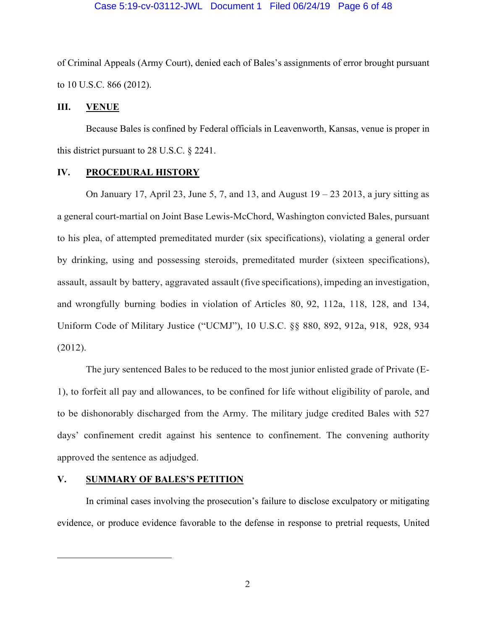of Criminal Appeals (Army Court), denied each of Bales's assignments of error brought pursuant to 10 U.S.C. 866 (2012).

### **III. VENUE**

 Because Bales is confined by Federal officials in Leavenworth, Kansas, venue is proper in this district pursuant to 28 U.S.C. § 2241.

### **IV. PROCEDURAL HISTORY**

On January 17, April 23, June 5, 7, and 13, and August  $19 - 23$  2013, a jury sitting as a general court-martial on Joint Base Lewis-McChord, Washington convicted Bales, pursuant to his plea, of attempted premeditated murder (six specifications), violating a general order by drinking, using and possessing steroids, premeditated murder (sixteen specifications), assault, assault by battery, aggravated assault (five specifications), impeding an investigation, and wrongfully burning bodies in violation of Articles 80, 92, 112a, 118, 128, and 134, Uniform Code of Military Justice ("UCMJ"), 10 U.S.C. §§ 880, 892, 912a, 918, 928, 934 (2012).

 The jury sentenced Bales to be reduced to the most junior enlisted grade of Private (E-1), to forfeit all pay and allowances, to be confined for life without eligibility of parole, and to be dishonorably discharged from the Army. The military judge credited Bales with 527 days' confinement credit against his sentence to confinement. The convening authority approved the sentence as adjudged.

### **V. SUMMARY OF BALES'S PETITION**

 In criminal cases involving the prosecution's failure to disclose exculpatory or mitigating evidence, or produce evidence favorable to the defense in response to pretrial requests, United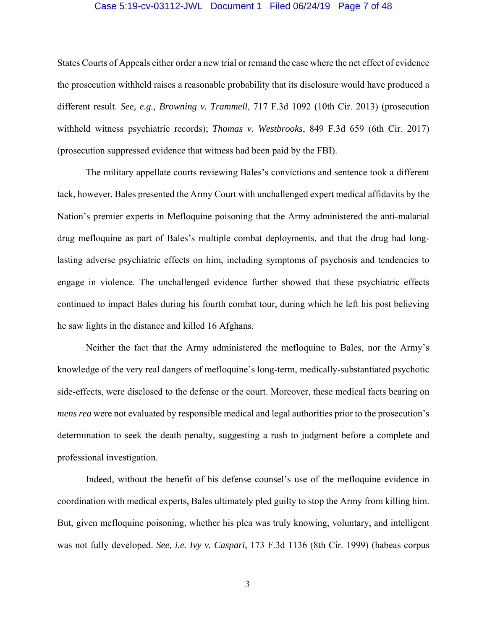#### Case 5:19-cv-03112-JWL Document 1 Filed 06/24/19 Page 7 of 48

States Courts of Appeals either order a new trial or remand the case where the net effect of evidence the prosecution withheld raises a reasonable probability that its disclosure would have produced a different result. *See, e.g., Browning v. Trammell*, 717 F.3d 1092 (10th Cir. 2013) (prosecution withheld witness psychiatric records); *Thomas v. Westbrooks*, 849 F.3d 659 (6th Cir. 2017) (prosecution suppressed evidence that witness had been paid by the FBI).

 The military appellate courts reviewing Bales's convictions and sentence took a different tack, however. Bales presented the Army Court with unchallenged expert medical affidavits by the Nation's premier experts in Mefloquine poisoning that the Army administered the anti-malarial drug mefloquine as part of Bales's multiple combat deployments, and that the drug had longlasting adverse psychiatric effects on him, including symptoms of psychosis and tendencies to engage in violence. The unchallenged evidence further showed that these psychiatric effects continued to impact Bales during his fourth combat tour, during which he left his post believing he saw lights in the distance and killed 16 Afghans.

 Neither the fact that the Army administered the mefloquine to Bales, nor the Army's knowledge of the very real dangers of mefloquine's long-term, medically-substantiated psychotic side-effects, were disclosed to the defense or the court. Moreover, these medical facts bearing on *mens rea* were not evaluated by responsible medical and legal authorities prior to the prosecution's determination to seek the death penalty, suggesting a rush to judgment before a complete and professional investigation.

 Indeed, without the benefit of his defense counsel's use of the mefloquine evidence in coordination with medical experts, Bales ultimately pled guilty to stop the Army from killing him. But, given mefloquine poisoning, whether his plea was truly knowing, voluntary, and intelligent was not fully developed. *See, i.e. Ivy v. Caspari*, 173 F.3d 1136 (8th Cir. 1999) (habeas corpus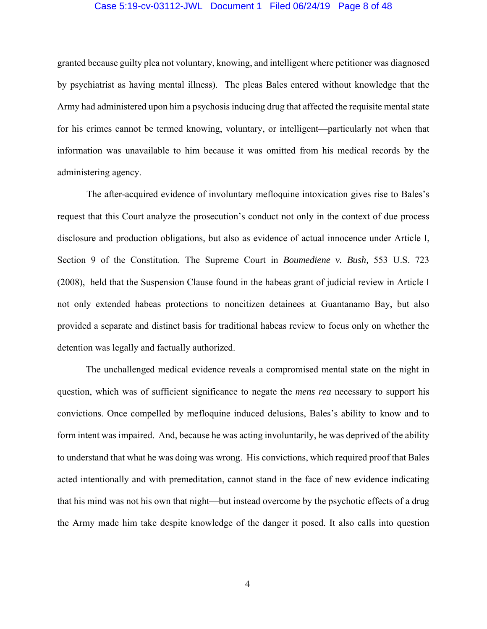#### Case 5:19-cv-03112-JWL Document 1 Filed 06/24/19 Page 8 of 48

granted because guilty plea not voluntary, knowing, and intelligent where petitioner was diagnosed by psychiatrist as having mental illness). The pleas Bales entered without knowledge that the Army had administered upon him a psychosis inducing drug that affected the requisite mental state for his crimes cannot be termed knowing, voluntary, or intelligent—particularly not when that information was unavailable to him because it was omitted from his medical records by the administering agency.

 The after-acquired evidence of involuntary mefloquine intoxication gives rise to Bales's request that this Court analyze the prosecution's conduct not only in the context of due process disclosure and production obligations, but also as evidence of actual innocence under Article I, Section 9 of the Constitution. The Supreme Court in *Boumediene v. Bush,* 553 U.S. 723 (2008), held that the Suspension Clause found in the habeas grant of judicial review in Article I not only extended habeas protections to noncitizen detainees at Guantanamo Bay, but also provided a separate and distinct basis for traditional habeas review to focus only on whether the detention was legally and factually authorized.

 The unchallenged medical evidence reveals a compromised mental state on the night in question, which was of sufficient significance to negate the *mens rea* necessary to support his convictions. Once compelled by mefloquine induced delusions, Bales's ability to know and to form intent was impaired. And, because he was acting involuntarily, he was deprived of the ability to understand that what he was doing was wrong. His convictions, which required proof that Bales acted intentionally and with premeditation, cannot stand in the face of new evidence indicating that his mind was not his own that night—but instead overcome by the psychotic effects of a drug the Army made him take despite knowledge of the danger it posed. It also calls into question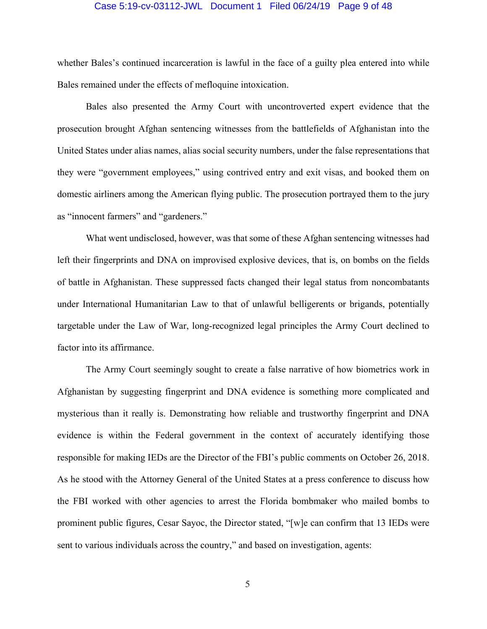#### Case 5:19-cv-03112-JWL Document 1 Filed 06/24/19 Page 9 of 48

whether Bales's continued incarceration is lawful in the face of a guilty plea entered into while Bales remained under the effects of mefloquine intoxication.

 Bales also presented the Army Court with uncontroverted expert evidence that the prosecution brought Afghan sentencing witnesses from the battlefields of Afghanistan into the United States under alias names, alias social security numbers, under the false representations that they were "government employees," using contrived entry and exit visas, and booked them on domestic airliners among the American flying public. The prosecution portrayed them to the jury as "innocent farmers" and "gardeners."

 What went undisclosed, however, was that some of these Afghan sentencing witnesses had left their fingerprints and DNA on improvised explosive devices, that is, on bombs on the fields of battle in Afghanistan. These suppressed facts changed their legal status from noncombatants under International Humanitarian Law to that of unlawful belligerents or brigands, potentially targetable under the Law of War, long-recognized legal principles the Army Court declined to factor into its affirmance.

 The Army Court seemingly sought to create a false narrative of how biometrics work in Afghanistan by suggesting fingerprint and DNA evidence is something more complicated and mysterious than it really is. Demonstrating how reliable and trustworthy fingerprint and DNA evidence is within the Federal government in the context of accurately identifying those responsible for making IEDs are the Director of the FBI's public comments on October 26, 2018. As he stood with the Attorney General of the United States at a press conference to discuss how the FBI worked with other agencies to arrest the Florida bombmaker who mailed bombs to prominent public figures, Cesar Sayoc, the Director stated, "[w]e can confirm that 13 IEDs were sent to various individuals across the country," and based on investigation, agents: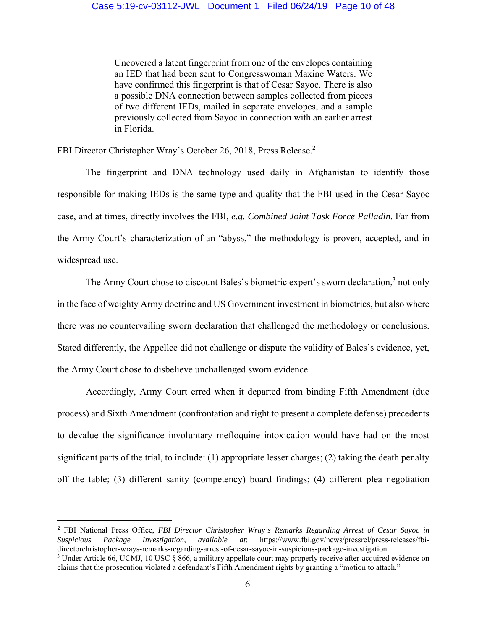Uncovered a latent fingerprint from one of the envelopes containing an IED that had been sent to Congresswoman Maxine Waters. We have confirmed this fingerprint is that of Cesar Sayoc. There is also a possible DNA connection between samples collected from pieces of two different IEDs, mailed in separate envelopes, and a sample previously collected from Sayoc in connection with an earlier arrest in Florida.

FBI Director Christopher Wray's October 26, 2018, Press Release.<sup>2</sup>

 The fingerprint and DNA technology used daily in Afghanistan to identify those responsible for making IEDs is the same type and quality that the FBI used in the Cesar Sayoc case, and at times, directly involves the FBI, *e.g. Combined Joint Task Force Palladin*. Far from the Army Court's characterization of an "abyss," the methodology is proven, accepted, and in widespread use.

The Army Court chose to discount Bales's biometric expert's sworn declaration,<sup>3</sup> not only in the face of weighty Army doctrine and US Government investment in biometrics, but also where there was no countervailing sworn declaration that challenged the methodology or conclusions. Stated differently, the Appellee did not challenge or dispute the validity of Bales's evidence, yet, the Army Court chose to disbelieve unchallenged sworn evidence.

 Accordingly, Army Court erred when it departed from binding Fifth Amendment (due process) and Sixth Amendment (confrontation and right to present a complete defense) precedents to devalue the significance involuntary mefloquine intoxication would have had on the most significant parts of the trial, to include: (1) appropriate lesser charges; (2) taking the death penalty off the table; (3) different sanity (competency) board findings; (4) different plea negotiation

<sup>2</sup> FBI National Press Office, *FBI Director Christopher Wray's Remarks Regarding Arrest of Cesar Sayoc in Suspicious Package Investigation, available at*: https://www.fbi.gov/news/pressrel/press-releases/fbidirectorchristopher-wrays-remarks-regarding-arrest-of-cesar-sayoc-in-suspicious-package-investigation <sup>3</sup> Under Article 66, UCMJ, 10 USC § 866, a military appellate court may properly receive after-acquired evidence on claims that the prosecution violated a defendant's Fifth Amendment rights by granting a "motion to attach."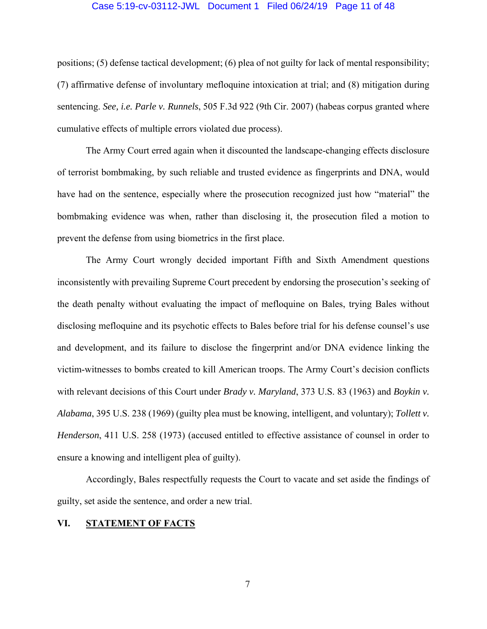#### Case 5:19-cv-03112-JWL Document 1 Filed 06/24/19 Page 11 of 48

positions; (5) defense tactical development; (6) plea of not guilty for lack of mental responsibility; (7) affirmative defense of involuntary mefloquine intoxication at trial; and (8) mitigation during sentencing. *See, i.e. Parle v. Runnels*, 505 F.3d 922 (9th Cir. 2007) (habeas corpus granted where cumulative effects of multiple errors violated due process).

 The Army Court erred again when it discounted the landscape-changing effects disclosure of terrorist bombmaking, by such reliable and trusted evidence as fingerprints and DNA, would have had on the sentence, especially where the prosecution recognized just how "material" the bombmaking evidence was when, rather than disclosing it, the prosecution filed a motion to prevent the defense from using biometrics in the first place.

 The Army Court wrongly decided important Fifth and Sixth Amendment questions inconsistently with prevailing Supreme Court precedent by endorsing the prosecution's seeking of the death penalty without evaluating the impact of mefloquine on Bales, trying Bales without disclosing mefloquine and its psychotic effects to Bales before trial for his defense counsel's use and development, and its failure to disclose the fingerprint and/or DNA evidence linking the victim-witnesses to bombs created to kill American troops. The Army Court's decision conflicts with relevant decisions of this Court under *Brady v. Maryland*, 373 U.S. 83 (1963) and *Boykin v. Alabama*, 395 U.S. 238 (1969) (guilty plea must be knowing, intelligent, and voluntary); *Tollett v. Henderson*, 411 U.S. 258 (1973) (accused entitled to effective assistance of counsel in order to ensure a knowing and intelligent plea of guilty).

 Accordingly, Bales respectfully requests the Court to vacate and set aside the findings of guilty, set aside the sentence, and order a new trial.

### **VI. STATEMENT OF FACTS**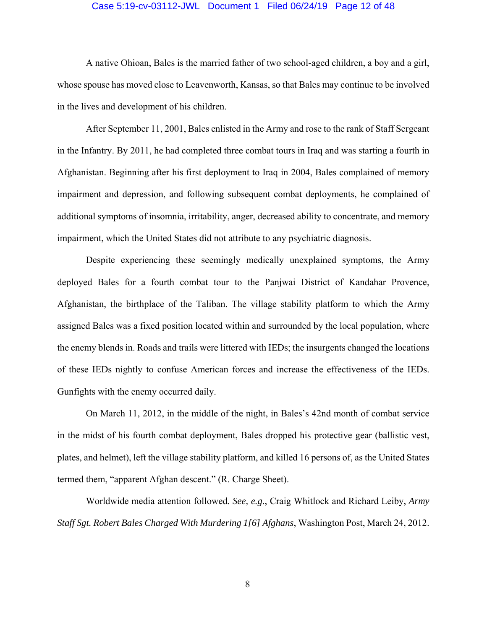#### Case 5:19-cv-03112-JWL Document 1 Filed 06/24/19 Page 12 of 48

 A native Ohioan, Bales is the married father of two school-aged children, a boy and a girl, whose spouse has moved close to Leavenworth, Kansas, so that Bales may continue to be involved in the lives and development of his children.

 After September 11, 2001, Bales enlisted in the Army and rose to the rank of Staff Sergeant in the Infantry. By 2011, he had completed three combat tours in Iraq and was starting a fourth in Afghanistan. Beginning after his first deployment to Iraq in 2004, Bales complained of memory impairment and depression, and following subsequent combat deployments, he complained of additional symptoms of insomnia, irritability, anger, decreased ability to concentrate, and memory impairment, which the United States did not attribute to any psychiatric diagnosis.

 Despite experiencing these seemingly medically unexplained symptoms, the Army deployed Bales for a fourth combat tour to the Panjwai District of Kandahar Provence, Afghanistan, the birthplace of the Taliban. The village stability platform to which the Army assigned Bales was a fixed position located within and surrounded by the local population, where the enemy blends in. Roads and trails were littered with IEDs; the insurgents changed the locations of these IEDs nightly to confuse American forces and increase the effectiveness of the IEDs. Gunfights with the enemy occurred daily.

 On March 11, 2012, in the middle of the night, in Bales's 42nd month of combat service in the midst of his fourth combat deployment, Bales dropped his protective gear (ballistic vest, plates, and helmet), left the village stability platform, and killed 16 persons of, as the United States termed them, "apparent Afghan descent." (R. Charge Sheet).

 Worldwide media attention followed. *See, e.g*., Craig Whitlock and Richard Leiby, *Army Staff Sgt. Robert Bales Charged With Murdering 1[6] Afghans*, Washington Post, March 24, 2012.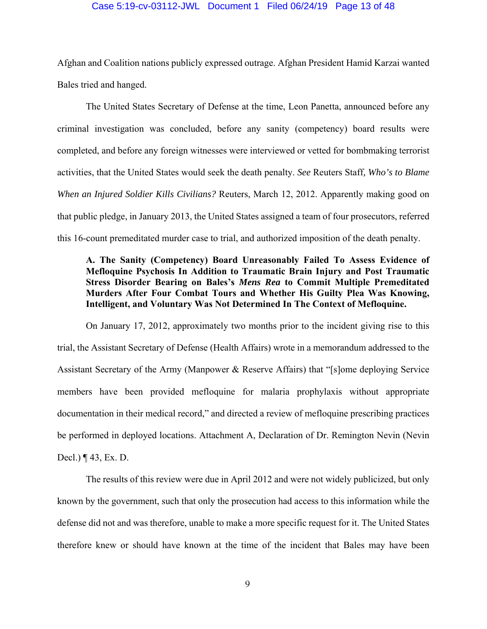#### Case 5:19-cv-03112-JWL Document 1 Filed 06/24/19 Page 13 of 48

Afghan and Coalition nations publicly expressed outrage. Afghan President Hamid Karzai wanted Bales tried and hanged.

 The United States Secretary of Defense at the time, Leon Panetta, announced before any criminal investigation was concluded, before any sanity (competency) board results were completed, and before any foreign witnesses were interviewed or vetted for bombmaking terrorist activities, that the United States would seek the death penalty. *See* Reuters Staff*, Who's to Blame When an Injured Soldier Kills Civilians?* Reuters, March 12, 2012. Apparently making good on that public pledge, in January 2013, the United States assigned a team of four prosecutors, referred this 16-count premeditated murder case to trial, and authorized imposition of the death penalty.

## **A. The Sanity (Competency) Board Unreasonably Failed To Assess Evidence of Mefloquine Psychosis In Addition to Traumatic Brain Injury and Post Traumatic Stress Disorder Bearing on Bales's** *Mens Rea* **to Commit Multiple Premeditated Murders After Four Combat Tours and Whether His Guilty Plea Was Knowing, Intelligent, and Voluntary Was Not Determined In The Context of Mefloquine.**

 On January 17, 2012, approximately two months prior to the incident giving rise to this trial, the Assistant Secretary of Defense (Health Affairs) wrote in a memorandum addressed to the Assistant Secretary of the Army (Manpower & Reserve Affairs) that "[s]ome deploying Service members have been provided mefloquine for malaria prophylaxis without appropriate documentation in their medical record," and directed a review of mefloquine prescribing practices be performed in deployed locations. Attachment A, Declaration of Dr. Remington Nevin (Nevin Decl.) ¶ 43, Ex. D.

 The results of this review were due in April 2012 and were not widely publicized, but only known by the government, such that only the prosecution had access to this information while the defense did not and was therefore, unable to make a more specific request for it. The United States therefore knew or should have known at the time of the incident that Bales may have been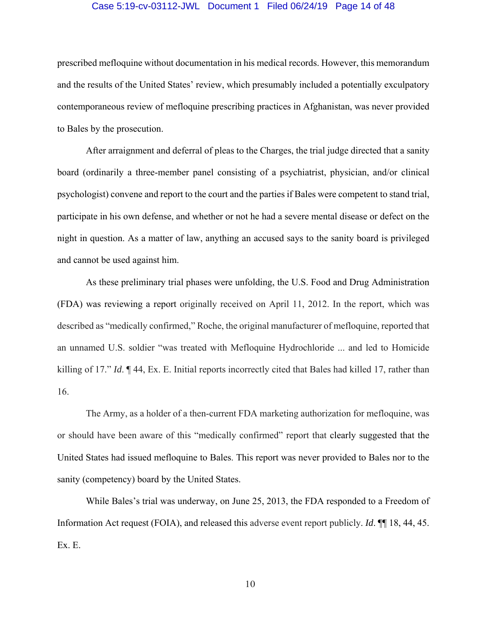#### Case 5:19-cv-03112-JWL Document 1 Filed 06/24/19 Page 14 of 48

prescribed mefloquine without documentation in his medical records. However, this memorandum and the results of the United States' review, which presumably included a potentially exculpatory contemporaneous review of mefloquine prescribing practices in Afghanistan, was never provided to Bales by the prosecution.

 After arraignment and deferral of pleas to the Charges, the trial judge directed that a sanity board (ordinarily a three-member panel consisting of a psychiatrist, physician, and/or clinical psychologist) convene and report to the court and the parties if Bales were competent to stand trial, participate in his own defense, and whether or not he had a severe mental disease or defect on the night in question. As a matter of law, anything an accused says to the sanity board is privileged and cannot be used against him.

 As these preliminary trial phases were unfolding, the U.S. Food and Drug Administration (FDA) was reviewing a report originally received on April 11, 2012. In the report, which was described as "medically confirmed," Roche, the original manufacturer of mefloquine, reported that an unnamed U.S. soldier "was treated with Mefloquine Hydrochloride ... and led to Homicide killing of 17." *Id*. ¶ 44, Ex. E. Initial reports incorrectly cited that Bales had killed 17, rather than 16.

 The Army, as a holder of a then-current FDA marketing authorization for mefloquine, was or should have been aware of this "medically confirmed" report that clearly suggested that the United States had issued mefloquine to Bales. This report was never provided to Bales nor to the sanity (competency) board by the United States.

 While Bales's trial was underway, on June 25, 2013, the FDA responded to a Freedom of Information Act request (FOIA), and released this adverse event report publicly. *Id*. ¶¶ 18, 44, 45. Ex. E.

10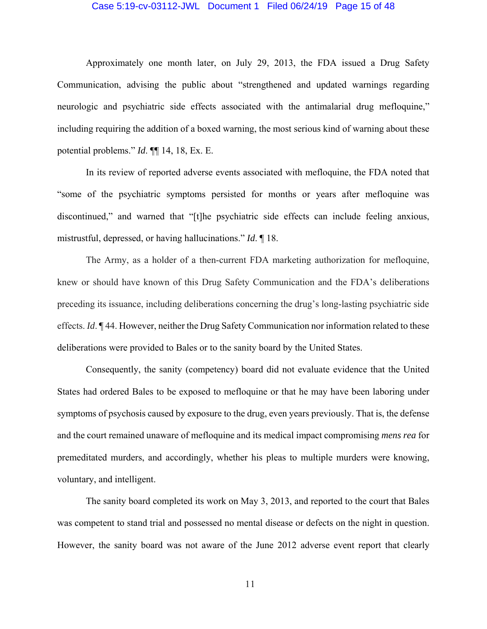#### Case 5:19-cv-03112-JWL Document 1 Filed 06/24/19 Page 15 of 48

 Approximately one month later, on July 29, 2013, the FDA issued a Drug Safety Communication, advising the public about "strengthened and updated warnings regarding neurologic and psychiatric side effects associated with the antimalarial drug mefloquine," including requiring the addition of a boxed warning, the most serious kind of warning about these potential problems." *Id*. ¶¶ 14, 18, Ex. E.

 In its review of reported adverse events associated with mefloquine, the FDA noted that "some of the psychiatric symptoms persisted for months or years after mefloquine was discontinued," and warned that "[t]he psychiatric side effects can include feeling anxious, mistrustful, depressed, or having hallucinations." *Id*. ¶ 18.

 The Army, as a holder of a then-current FDA marketing authorization for mefloquine, knew or should have known of this Drug Safety Communication and the FDA's deliberations preceding its issuance, including deliberations concerning the drug's long-lasting psychiatric side effects. *Id*. ¶ 44. However, neither the Drug Safety Communication nor information related to these deliberations were provided to Bales or to the sanity board by the United States.

 Consequently, the sanity (competency) board did not evaluate evidence that the United States had ordered Bales to be exposed to mefloquine or that he may have been laboring under symptoms of psychosis caused by exposure to the drug, even years previously. That is, the defense and the court remained unaware of mefloquine and its medical impact compromising *mens rea* for premeditated murders, and accordingly, whether his pleas to multiple murders were knowing, voluntary, and intelligent.

 The sanity board completed its work on May 3, 2013, and reported to the court that Bales was competent to stand trial and possessed no mental disease or defects on the night in question. However, the sanity board was not aware of the June 2012 adverse event report that clearly

11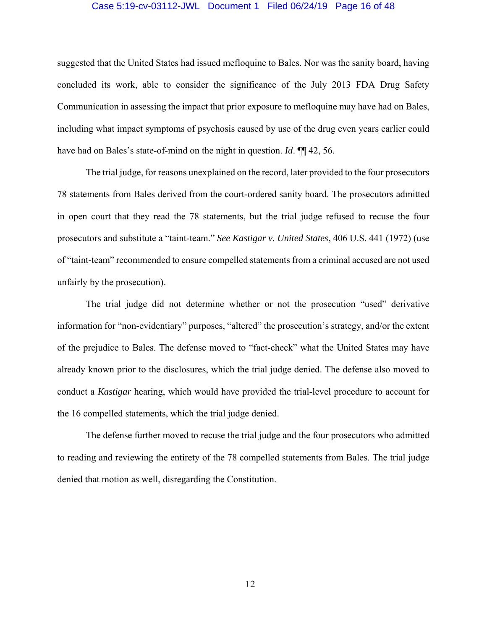#### Case 5:19-cv-03112-JWL Document 1 Filed 06/24/19 Page 16 of 48

suggested that the United States had issued mefloquine to Bales. Nor was the sanity board, having concluded its work, able to consider the significance of the July 2013 FDA Drug Safety Communication in assessing the impact that prior exposure to mefloquine may have had on Bales, including what impact symptoms of psychosis caused by use of the drug even years earlier could have had on Bales's state-of-mind on the night in question. *Id*. **¶** 42, 56.

 The trial judge, for reasons unexplained on the record, later provided to the four prosecutors 78 statements from Bales derived from the court-ordered sanity board. The prosecutors admitted in open court that they read the 78 statements, but the trial judge refused to recuse the four prosecutors and substitute a "taint-team." *See Kastigar v. United States*, 406 U.S. 441 (1972) (use of "taint-team" recommended to ensure compelled statements from a criminal accused are not used unfairly by the prosecution).

 The trial judge did not determine whether or not the prosecution "used" derivative information for "non-evidentiary" purposes, "altered" the prosecution's strategy, and/or the extent of the prejudice to Bales. The defense moved to "fact-check" what the United States may have already known prior to the disclosures, which the trial judge denied. The defense also moved to conduct a *Kastigar* hearing, which would have provided the trial-level procedure to account for the 16 compelled statements, which the trial judge denied.

 The defense further moved to recuse the trial judge and the four prosecutors who admitted to reading and reviewing the entirety of the 78 compelled statements from Bales. The trial judge denied that motion as well, disregarding the Constitution.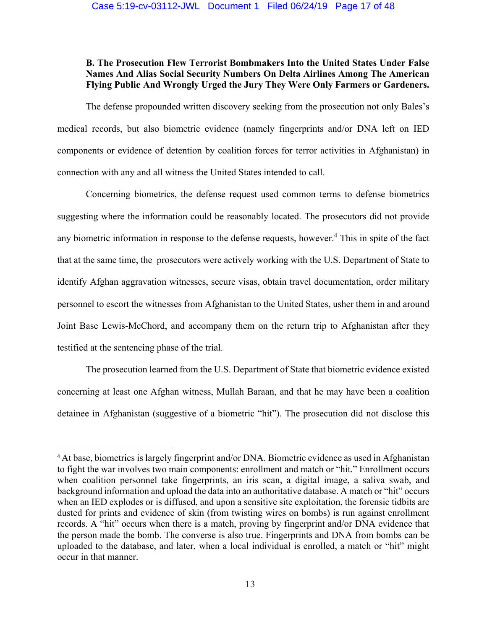## **B. The Prosecution Flew Terrorist Bombmakers Into the United States Under False Names And Alias Social Security Numbers On Delta Airlines Among The American Flying Public And Wrongly Urged the Jury They Were Only Farmers or Gardeners.**

 The defense propounded written discovery seeking from the prosecution not only Bales's medical records, but also biometric evidence (namely fingerprints and/or DNA left on IED components or evidence of detention by coalition forces for terror activities in Afghanistan) in connection with any and all witness the United States intended to call.

 Concerning biometrics, the defense request used common terms to defense biometrics suggesting where the information could be reasonably located. The prosecutors did not provide any biometric information in response to the defense requests, however.<sup>4</sup> This in spite of the fact that at the same time, the prosecutors were actively working with the U.S. Department of State to identify Afghan aggravation witnesses, secure visas, obtain travel documentation, order military personnel to escort the witnesses from Afghanistan to the United States, usher them in and around Joint Base Lewis-McChord, and accompany them on the return trip to Afghanistan after they testified at the sentencing phase of the trial.

 The prosecution learned from the U.S. Department of State that biometric evidence existed concerning at least one Afghan witness, Mullah Baraan, and that he may have been a coalition detainee in Afghanistan (suggestive of a biometric "hit"). The prosecution did not disclose this

<sup>4</sup> At base, biometrics is largely fingerprint and/or DNA. Biometric evidence as used in Afghanistan to fight the war involves two main components: enrollment and match or "hit." Enrollment occurs when coalition personnel take fingerprints, an iris scan, a digital image, a saliva swab, and background information and upload the data into an authoritative database. A match or "hit" occurs when an IED explodes or is diffused, and upon a sensitive site exploitation, the forensic tidbits are dusted for prints and evidence of skin (from twisting wires on bombs) is run against enrollment records. A "hit" occurs when there is a match, proving by fingerprint and/or DNA evidence that the person made the bomb. The converse is also true. Fingerprints and DNA from bombs can be uploaded to the database, and later, when a local individual is enrolled, a match or "hit" might occur in that manner.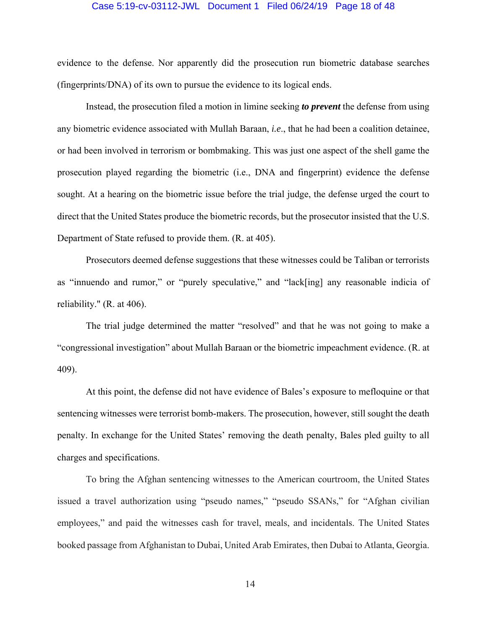#### Case 5:19-cv-03112-JWL Document 1 Filed 06/24/19 Page 18 of 48

evidence to the defense. Nor apparently did the prosecution run biometric database searches (fingerprints/DNA) of its own to pursue the evidence to its logical ends.

 Instead, the prosecution filed a motion in limine seeking *to prevent* the defense from using any biometric evidence associated with Mullah Baraan, *i.e*., that he had been a coalition detainee, or had been involved in terrorism or bombmaking. This was just one aspect of the shell game the prosecution played regarding the biometric (i.e., DNA and fingerprint) evidence the defense sought. At a hearing on the biometric issue before the trial judge, the defense urged the court to direct that the United States produce the biometric records, but the prosecutor insisted that the U.S. Department of State refused to provide them. (R. at 405).

 Prosecutors deemed defense suggestions that these witnesses could be Taliban or terrorists as "innuendo and rumor," or "purely speculative," and "lack[ing] any reasonable indicia of reliability." (R. at 406).

 The trial judge determined the matter "resolved" and that he was not going to make a "congressional investigation" about Mullah Baraan or the biometric impeachment evidence. (R. at 409).

 At this point, the defense did not have evidence of Bales's exposure to mefloquine or that sentencing witnesses were terrorist bomb-makers. The prosecution, however, still sought the death penalty. In exchange for the United States' removing the death penalty, Bales pled guilty to all charges and specifications.

 To bring the Afghan sentencing witnesses to the American courtroom, the United States issued a travel authorization using "pseudo names," "pseudo SSANs," for "Afghan civilian employees," and paid the witnesses cash for travel, meals, and incidentals. The United States booked passage from Afghanistan to Dubai, United Arab Emirates, then Dubai to Atlanta, Georgia.

14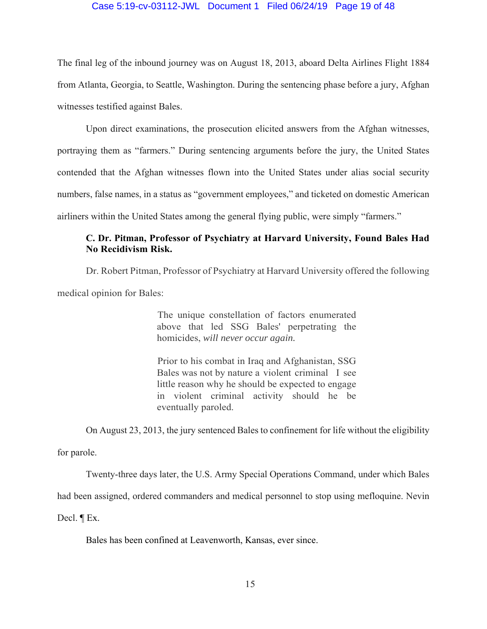### Case 5:19-cv-03112-JWL Document 1 Filed 06/24/19 Page 19 of 48

The final leg of the inbound journey was on August 18, 2013, aboard Delta Airlines Flight 1884 from Atlanta, Georgia, to Seattle, Washington. During the sentencing phase before a jury, Afghan witnesses testified against Bales.

 Upon direct examinations, the prosecution elicited answers from the Afghan witnesses, portraying them as "farmers." During sentencing arguments before the jury, the United States contended that the Afghan witnesses flown into the United States under alias social security numbers, false names, in a status as "government employees," and ticketed on domestic American airliners within the United States among the general flying public, were simply "farmers."

## **C. Dr. Pitman, Professor of Psychiatry at Harvard University, Found Bales Had No Recidivism Risk.**

Dr. Robert Pitman, Professor of Psychiatry at Harvard University offered the following medical opinion for Bales:

> The unique constellation of factors enumerated above that led SSG Bales' perpetrating the homicides, *will never occur again.*

> Prior to his combat in Iraq and Afghanistan, SSG Bales was not by nature a violent criminal I see little reason why he should be expected to engage in violent criminal activity should he be eventually paroled.

 On August 23, 2013, the jury sentenced Bales to confinement for life without the eligibility for parole.

Twenty-three days later, the U.S. Army Special Operations Command, under which Bales

had been assigned, ordered commanders and medical personnel to stop using mefloquine. Nevin

Decl. ¶ Ex.

Bales has been confined at Leavenworth, Kansas, ever since.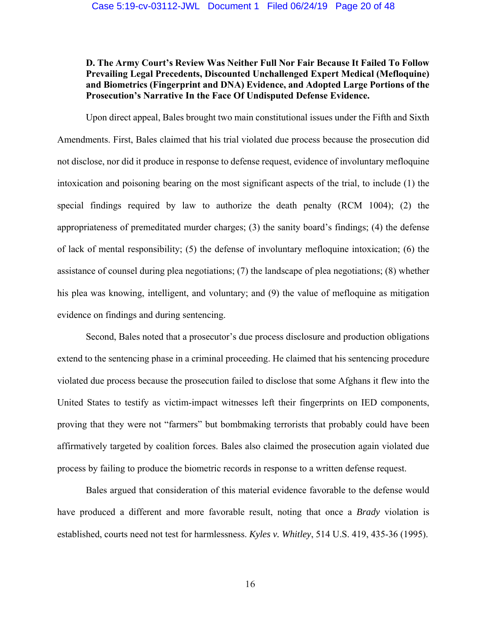## **D. The Army Court's Review Was Neither Full Nor Fair Because It Failed To Follow Prevailing Legal Precedents, Discounted Unchallenged Expert Medical (Mefloquine) and Biometrics (Fingerprint and DNA) Evidence, and Adopted Large Portions of the Prosecution's Narrative In the Face Of Undisputed Defense Evidence.**

 Upon direct appeal, Bales brought two main constitutional issues under the Fifth and Sixth Amendments. First, Bales claimed that his trial violated due process because the prosecution did not disclose, nor did it produce in response to defense request, evidence of involuntary mefloquine intoxication and poisoning bearing on the most significant aspects of the trial, to include (1) the special findings required by law to authorize the death penalty (RCM 1004); (2) the appropriateness of premeditated murder charges; (3) the sanity board's findings; (4) the defense of lack of mental responsibility; (5) the defense of involuntary mefloquine intoxication; (6) the assistance of counsel during plea negotiations; (7) the landscape of plea negotiations; (8) whether his plea was knowing, intelligent, and voluntary; and (9) the value of mefloquine as mitigation evidence on findings and during sentencing.

 Second, Bales noted that a prosecutor's due process disclosure and production obligations extend to the sentencing phase in a criminal proceeding. He claimed that his sentencing procedure violated due process because the prosecution failed to disclose that some Afghans it flew into the United States to testify as victim-impact witnesses left their fingerprints on IED components, proving that they were not "farmers" but bombmaking terrorists that probably could have been affirmatively targeted by coalition forces. Bales also claimed the prosecution again violated due process by failing to produce the biometric records in response to a written defense request.

 Bales argued that consideration of this material evidence favorable to the defense would have produced a different and more favorable result, noting that once a *Brady* violation is established, courts need not test for harmlessness. *Kyles v. Whitley*, 514 U.S. 419, 435-36 (1995).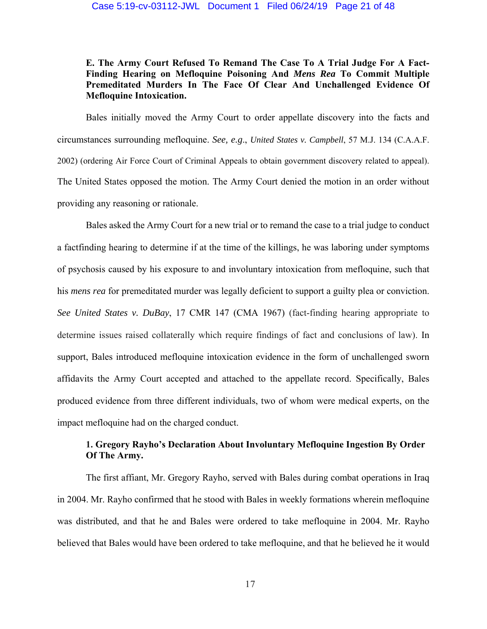**E. The Army Court Refused To Remand The Case To A Trial Judge For A Fact- Finding Hearing on Mefloquine Poisoning And** *Mens Rea* **To Commit Multiple Premeditated Murders In The Face Of Clear And Unchallenged Evidence Of Mefloquine Intoxication.** 

 Bales initially moved the Army Court to order appellate discovery into the facts and circumstances surrounding mefloquine. *See, e.g*., *United States v. Campbell*, 57 M.J. 134 (C.A.A.F. 2002) (ordering Air Force Court of Criminal Appeals to obtain government discovery related to appeal). The United States opposed the motion. The Army Court denied the motion in an order without providing any reasoning or rationale.

 Bales asked the Army Court for a new trial or to remand the case to a trial judge to conduct a factfinding hearing to determine if at the time of the killings, he was laboring under symptoms of psychosis caused by his exposure to and involuntary intoxication from mefloquine, such that his *mens rea* for premeditated murder was legally deficient to support a guilty plea or conviction. *See United States v. DuBay*, 17 CMR 147 (CMA 1967) (fact-finding hearing appropriate to determine issues raised collaterally which require findings of fact and conclusions of law). In support, Bales introduced mefloquine intoxication evidence in the form of unchallenged sworn affidavits the Army Court accepted and attached to the appellate record. Specifically, Bales produced evidence from three different individuals, two of whom were medical experts, on the impact mefloquine had on the charged conduct.

## **1. Gregory Rayho's Declaration About Involuntary Mefloquine Ingestion By Order Of The Army.**

 The first affiant, Mr. Gregory Rayho, served with Bales during combat operations in Iraq in 2004. Mr. Rayho confirmed that he stood with Bales in weekly formations wherein mefloquine was distributed, and that he and Bales were ordered to take mefloquine in 2004. Mr. Rayho believed that Bales would have been ordered to take mefloquine, and that he believed he it would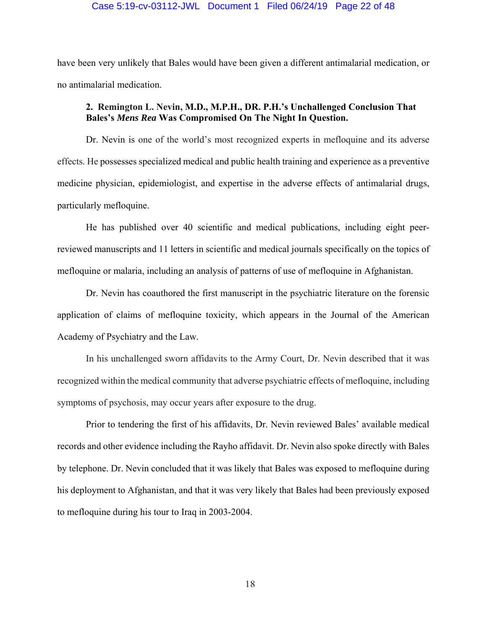#### Case 5:19-cv-03112-JWL Document 1 Filed 06/24/19 Page 22 of 48

have been very unlikely that Bales would have been given a different antimalarial medication, or no antimalarial medication.

## **2. Remington L. Nevin, M.D., M.P.H., DR. P.H.'s Unchallenged Conclusion That Bales's** *Mens Rea* **Was Compromised On The Night In Question.**

 Dr. Nevin is one of the world's most recognized experts in mefloquine and its adverse effects. He possesses specialized medical and public health training and experience as a preventive medicine physician, epidemiologist, and expertise in the adverse effects of antimalarial drugs, particularly mefloquine.

 He has published over 40 scientific and medical publications, including eight peerreviewed manuscripts and 11 letters in scientific and medical journals specifically on the topics of mefloquine or malaria, including an analysis of patterns of use of mefloquine in Afghanistan.

 Dr. Nevin has coauthored the first manuscript in the psychiatric literature on the forensic application of claims of mefloquine toxicity, which appears in the Journal of the American Academy of Psychiatry and the Law.

 In his unchallenged sworn affidavits to the Army Court, Dr. Nevin described that it was recognized within the medical community that adverse psychiatric effects of mefloquine, including symptoms of psychosis, may occur years after exposure to the drug.

 Prior to tendering the first of his affidavits, Dr. Nevin reviewed Bales' available medical records and other evidence including the Rayho affidavit. Dr. Nevin also spoke directly with Bales by telephone. Dr. Nevin concluded that it was likely that Bales was exposed to mefloquine during his deployment to Afghanistan, and that it was very likely that Bales had been previously exposed to mefloquine during his tour to Iraq in 2003-2004.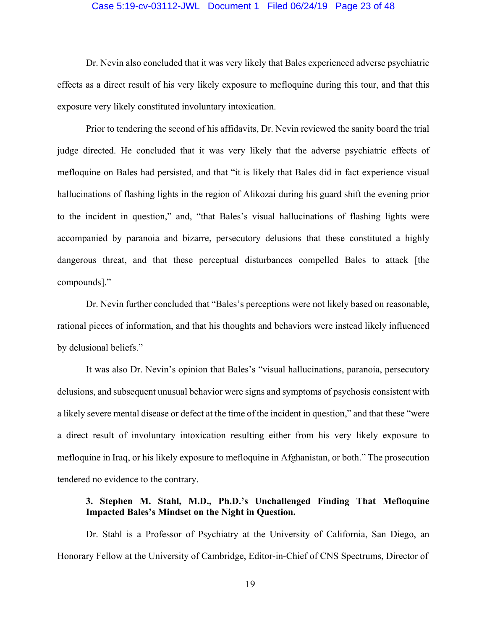#### Case 5:19-cv-03112-JWL Document 1 Filed 06/24/19 Page 23 of 48

 Dr. Nevin also concluded that it was very likely that Bales experienced adverse psychiatric effects as a direct result of his very likely exposure to mefloquine during this tour, and that this exposure very likely constituted involuntary intoxication.

 Prior to tendering the second of his affidavits, Dr. Nevin reviewed the sanity board the trial judge directed. He concluded that it was very likely that the adverse psychiatric effects of mefloquine on Bales had persisted, and that "it is likely that Bales did in fact experience visual hallucinations of flashing lights in the region of Alikozai during his guard shift the evening prior to the incident in question," and, "that Bales's visual hallucinations of flashing lights were accompanied by paranoia and bizarre, persecutory delusions that these constituted a highly dangerous threat, and that these perceptual disturbances compelled Bales to attack [the compounds]."

 Dr. Nevin further concluded that "Bales's perceptions were not likely based on reasonable, rational pieces of information, and that his thoughts and behaviors were instead likely influenced by delusional beliefs."

 It was also Dr. Nevin's opinion that Bales's "visual hallucinations, paranoia, persecutory delusions, and subsequent unusual behavior were signs and symptoms of psychosis consistent with a likely severe mental disease or defect at the time of the incident in question," and that these "were a direct result of involuntary intoxication resulting either from his very likely exposure to mefloquine in Iraq, or his likely exposure to mefloquine in Afghanistan, or both." The prosecution tendered no evidence to the contrary.

### **3. Stephen M. Stahl, M.D., Ph.D.'s Unchallenged Finding That Mefloquine Impacted Bales's Mindset on the Night in Question.**

 Dr. Stahl is a Professor of Psychiatry at the University of California, San Diego, an Honorary Fellow at the University of Cambridge, Editor-in-Chief of CNS Spectrums, Director of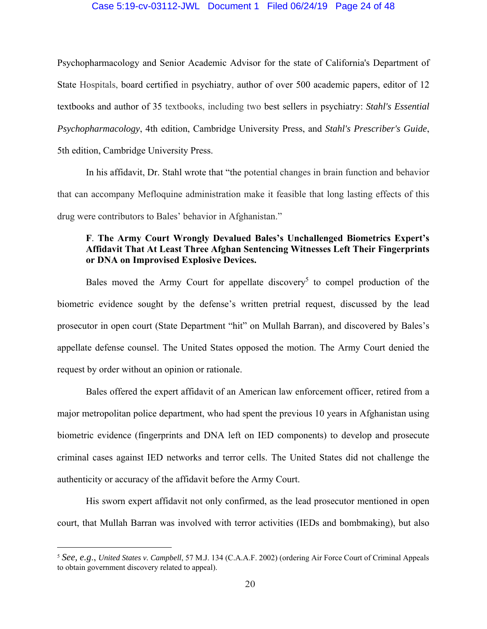#### Case 5:19-cv-03112-JWL Document 1 Filed 06/24/19 Page 24 of 48

Psychopharmacology and Senior Academic Advisor for the state of California's Department of State Hospitals, board certified in psychiatry, author of over 500 academic papers, editor of 12 textbooks and author of 35 textbooks, including two best sellers in psychiatry: *Stahl's Essential Psychopharmacology*, 4th edition, Cambridge University Press, and *Stahl's Prescriber's Guide*, 5th edition, Cambridge University Press.

 In his affidavit, Dr. Stahl wrote that "the potential changes in brain function and behavior that can accompany Mefloquine administration make it feasible that long lasting effects of this drug were contributors to Bales' behavior in Afghanistan."

## **F**. **The Army Court Wrongly Devalued Bales's Unchallenged Biometrics Expert's Affidavit That At Least Three Afghan Sentencing Witnesses Left Their Fingerprints or DNA on Improvised Explosive Devices.**

Bales moved the Army Court for appellate discovery<sup>5</sup> to compel production of the biometric evidence sought by the defense's written pretrial request, discussed by the lead prosecutor in open court (State Department "hit" on Mullah Barran), and discovered by Bales's appellate defense counsel. The United States opposed the motion. The Army Court denied the request by order without an opinion or rationale.

 Bales offered the expert affidavit of an American law enforcement officer, retired from a major metropolitan police department, who had spent the previous 10 years in Afghanistan using biometric evidence (fingerprints and DNA left on IED components) to develop and prosecute criminal cases against IED networks and terror cells. The United States did not challenge the authenticity or accuracy of the affidavit before the Army Court.

 His sworn expert affidavit not only confirmed, as the lead prosecutor mentioned in open court, that Mullah Barran was involved with terror activities (IEDs and bombmaking), but also

<sup>5</sup> *See, e.g*., *United States v. Campbell*, 57 M.J. 134 (C.A.A.F. 2002) (ordering Air Force Court of Criminal Appeals to obtain government discovery related to appeal).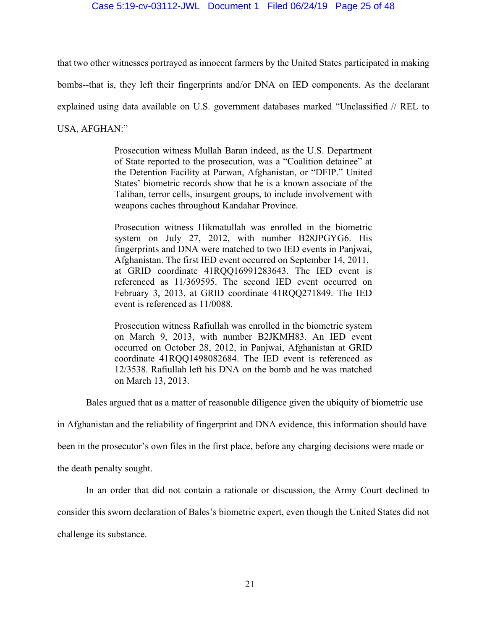#### Case 5:19-cv-03112-JWL Document 1 Filed 06/24/19 Page 25 of 48

that two other witnesses portrayed as innocent farmers by the United States participated in making

bombs--that is, they left their fingerprints and/or DNA on IED components. As the declarant

explained using data available on U.S. government databases marked "Unclassified // REL to

USA, AFGHAN:"

Prosecution witness Mullah Baran indeed, as the U.S. Department of State reported to the prosecution, was a "Coalition detainee" at the Detention Facility at Parwan, Afghanistan, or "DFIP." United States' biometric records show that he is a known associate of the Taliban, terror cells, insurgent groups, to include involvement with weapons caches throughout Kandahar Province.

Prosecution witness Hikmatullah was enrolled in the biometric system on July 27, 2012, with number B28JPGYG6. His fingerprints and DNA were matched to two IED events in Panjwai, Afghanistan. The first IED event occurred on September 14, 2011, at GRID coordinate 41RQQ16991283643. The IED event is referenced as 11/369595. The second IED event occurred on February 3, 2013, at GRID coordinate 41RQQ271849. The IED event is referenced as 11/0088.

Prosecution witness Rafiullah was enrolled in the biometric system on March 9, 2013, with number B2JKMH83. An IED event occurred on October 28, 2012, in Panjwai, Afghanistan at GRID coordinate 41RQQ1498082684. The IED event is referenced as 12/3538. Rafiullah left his DNA on the bomb and he was matched on March 13, 2013.

Bales argued that as a matter of reasonable diligence given the ubiquity of biometric use

in Afghanistan and the reliability of fingerprint and DNA evidence, this information should have

been in the prosecutor's own files in the first place, before any charging decisions were made or

the death penalty sought.

In an order that did not contain a rationale or discussion, the Army Court declined to

consider this sworn declaration of Bales's biometric expert, even though the United States did not

challenge its substance.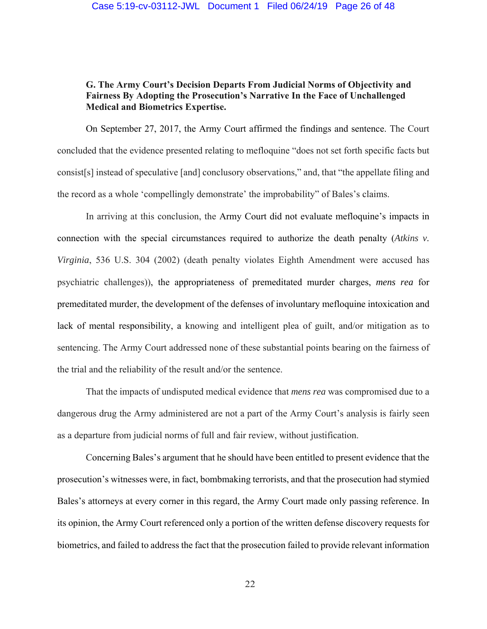#### Case 5:19-cv-03112-JWL Document 1 Filed 06/24/19 Page 26 of 48

### **G. The Army Court's Decision Departs From Judicial Norms of Objectivity and Fairness By Adopting the Prosecution's Narrative In the Face of Unchallenged Medical and Biometrics Expertise.**

 On September 27, 2017, the Army Court affirmed the findings and sentence. The Court concluded that the evidence presented relating to mefloquine "does not set forth specific facts but consist[s] instead of speculative [and] conclusory observations," and, that "the appellate filing and the record as a whole 'compellingly demonstrate' the improbability" of Bales's claims.

In arriving at this conclusion, the Army Court did not evaluate mefloquine's impacts in connection with the special circumstances required to authorize the death penalty (*Atkins v. Virginia*, 536 U.S. 304 (2002) (death penalty violates Eighth Amendment were accused has psychiatric challenges)), the appropriateness of premeditated murder charges, *mens rea* for premeditated murder, the development of the defenses of involuntary mefloquine intoxication and lack of mental responsibility, a knowing and intelligent plea of guilt, and/or mitigation as to sentencing. The Army Court addressed none of these substantial points bearing on the fairness of the trial and the reliability of the result and/or the sentence.

 That the impacts of undisputed medical evidence that *mens rea* was compromised due to a dangerous drug the Army administered are not a part of the Army Court's analysis is fairly seen as a departure from judicial norms of full and fair review, without justification.

 Concerning Bales's argument that he should have been entitled to present evidence that the prosecution's witnesses were, in fact, bombmaking terrorists, and that the prosecution had stymied Bales's attorneys at every corner in this regard, the Army Court made only passing reference. In its opinion, the Army Court referenced only a portion of the written defense discovery requests for biometrics, and failed to address the fact that the prosecution failed to provide relevant information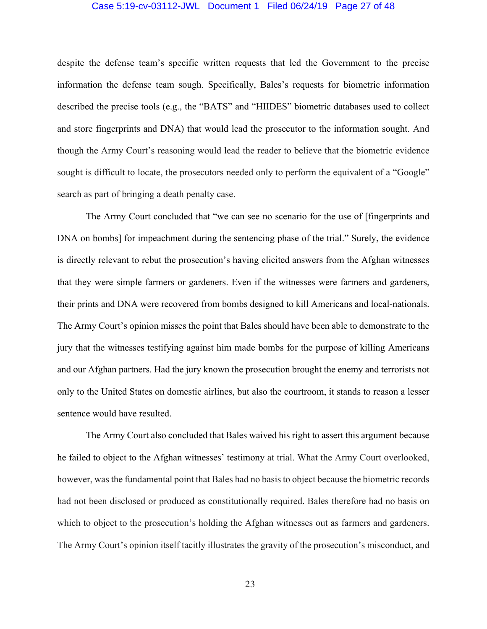#### Case 5:19-cv-03112-JWL Document 1 Filed 06/24/19 Page 27 of 48

despite the defense team's specific written requests that led the Government to the precise information the defense team sough. Specifically, Bales's requests for biometric information described the precise tools (e.g., the "BATS" and "HIIDES" biometric databases used to collect and store fingerprints and DNA) that would lead the prosecutor to the information sought. And though the Army Court's reasoning would lead the reader to believe that the biometric evidence sought is difficult to locate, the prosecutors needed only to perform the equivalent of a "Google" search as part of bringing a death penalty case.

 The Army Court concluded that "we can see no scenario for the use of [fingerprints and DNA on bombs] for impeachment during the sentencing phase of the trial." Surely, the evidence is directly relevant to rebut the prosecution's having elicited answers from the Afghan witnesses that they were simple farmers or gardeners. Even if the witnesses were farmers and gardeners, their prints and DNA were recovered from bombs designed to kill Americans and local-nationals. The Army Court's opinion misses the point that Bales should have been able to demonstrate to the jury that the witnesses testifying against him made bombs for the purpose of killing Americans and our Afghan partners. Had the jury known the prosecution brought the enemy and terrorists not only to the United States on domestic airlines, but also the courtroom, it stands to reason a lesser sentence would have resulted.

 The Army Court also concluded that Bales waived his right to assert this argument because he failed to object to the Afghan witnesses' testimony at trial. What the Army Court overlooked, however, was the fundamental point that Bales had no basis to object because the biometric records had not been disclosed or produced as constitutionally required. Bales therefore had no basis on which to object to the prosecution's holding the Afghan witnesses out as farmers and gardeners. The Army Court's opinion itself tacitly illustrates the gravity of the prosecution's misconduct, and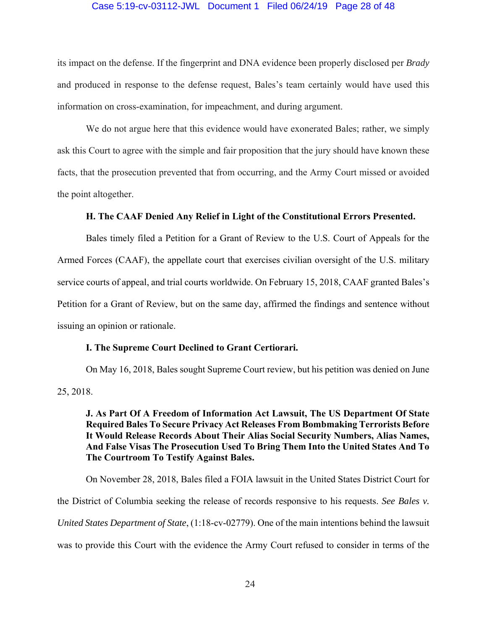#### Case 5:19-cv-03112-JWL Document 1 Filed 06/24/19 Page 28 of 48

its impact on the defense. If the fingerprint and DNA evidence been properly disclosed per *Brady*  and produced in response to the defense request, Bales's team certainly would have used this information on cross-examination, for impeachment, and during argument.

 We do not argue here that this evidence would have exonerated Bales; rather, we simply ask this Court to agree with the simple and fair proposition that the jury should have known these facts, that the prosecution prevented that from occurring, and the Army Court missed or avoided the point altogether.

### **H. The CAAF Denied Any Relief in Light of the Constitutional Errors Presented.**

 Bales timely filed a Petition for a Grant of Review to the U.S. Court of Appeals for the Armed Forces (CAAF), the appellate court that exercises civilian oversight of the U.S. military service courts of appeal, and trial courts worldwide. On February 15, 2018, CAAF granted Bales's Petition for a Grant of Review, but on the same day, affirmed the findings and sentence without issuing an opinion or rationale.

### **I. The Supreme Court Declined to Grant Certiorari.**

 On May 16, 2018, Bales sought Supreme Court review, but his petition was denied on June 25, 2018.

### **J. As Part Of A Freedom of Information Act Lawsuit, The US Department Of State Required Bales To Secure Privacy Act Releases From Bombmaking Terrorists Before It Would Release Records About Their Alias Social Security Numbers, Alias Names, And False Visas The Prosecution Used To Bring Them Into the United States And To The Courtroom To Testify Against Bales.**

 On November 28, 2018, Bales filed a FOIA lawsuit in the United States District Court for the District of Columbia seeking the release of records responsive to his requests. *See Bales v. United States Department of State*, (1:18-cv-02779). One of the main intentions behind the lawsuit was to provide this Court with the evidence the Army Court refused to consider in terms of the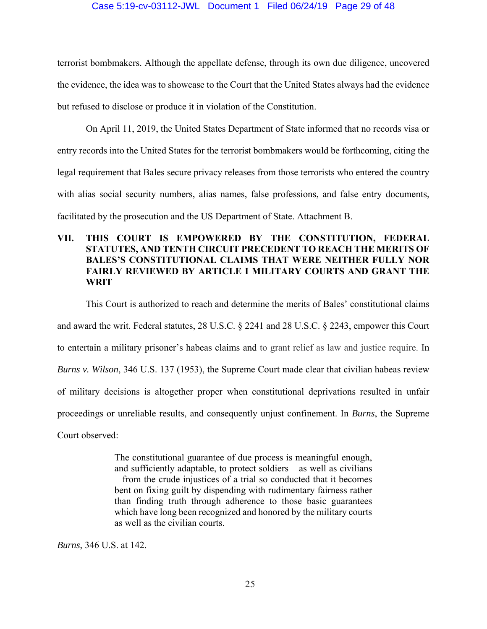### Case 5:19-cv-03112-JWL Document 1 Filed 06/24/19 Page 29 of 48

terrorist bombmakers. Although the appellate defense, through its own due diligence, uncovered the evidence, the idea was to showcase to the Court that the United States always had the evidence but refused to disclose or produce it in violation of the Constitution.

 On April 11, 2019, the United States Department of State informed that no records visa or entry records into the United States for the terrorist bombmakers would be forthcoming, citing the legal requirement that Bales secure privacy releases from those terrorists who entered the country with alias social security numbers, alias names, false professions, and false entry documents, facilitated by the prosecution and the US Department of State. Attachment B.

## **VII. THIS COURT IS EMPOWERED BY THE CONSTITUTION, FEDERAL STATUTES, AND TENTH CIRCUIT PRECEDENT TO REACH THE MERITS OF BALES'S CONSTITUTIONAL CLAIMS THAT WERE NEITHER FULLY NOR FAIRLY REVIEWED BY ARTICLE I MILITARY COURTS AND GRANT THE WRIT**

This Court is authorized to reach and determine the merits of Bales' constitutional claims and award the writ. Federal statutes, 28 U.S.C. § 2241 and 28 U.S.C. § 2243, empower this Court to entertain a military prisoner's habeas claims and to grant relief as law and justice require. In *Burns v. Wilson*, 346 U.S. 137 (1953), the Supreme Court made clear that civilian habeas review of military decisions is altogether proper when constitutional deprivations resulted in unfair proceedings or unreliable results, and consequently unjust confinement. In *Burns*, the Supreme Court observed:

> The constitutional guarantee of due process is meaningful enough, and sufficiently adaptable, to protect soldiers – as well as civilians – from the crude injustices of a trial so conducted that it becomes bent on fixing guilt by dispending with rudimentary fairness rather than finding truth through adherence to those basic guarantees which have long been recognized and honored by the military courts as well as the civilian courts.

*Burns*, 346 U.S. at 142.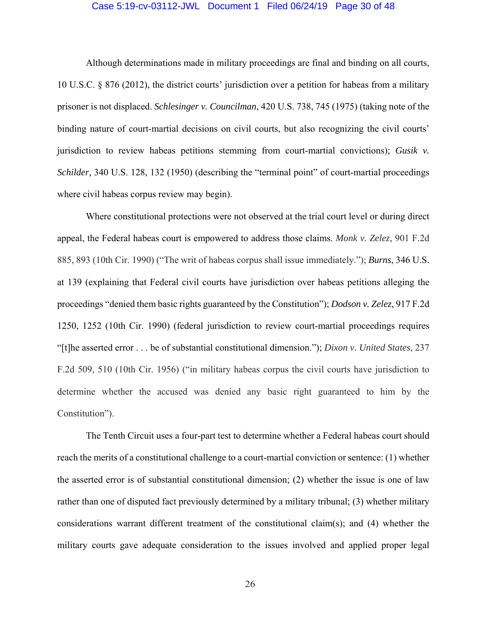#### Case 5:19-cv-03112-JWL Document 1 Filed 06/24/19 Page 30 of 48

 Although determinations made in military proceedings are final and binding on all courts, 10 U.S.C. § 876 (2012), the district courts' jurisdiction over a petition for habeas from a military prisoner is not displaced. *Schlesinger v. Councilman*, 420 U.S. 738, 745 (1975) (taking note of the binding nature of court-martial decisions on civil courts, but also recognizing the civil courts' jurisdiction to review habeas petitions stemming from court-martial convictions); *Gusik v. Schilder,* 340 U.S. 128, 132 (1950) (describing the "terminal point" of court-martial proceedings where civil habeas corpus review may begin).

Where constitutional protections were not observed at the trial court level or during direct appeal, the Federal habeas court is empowered to address those claims. *Monk v. Zelez*, 901 F.2d 885, 893 (10th Cir. 1990) ("The writ of habeas corpus shall issue immediately."); *Burns*, 346 U.S. at 139 (explaining that Federal civil courts have jurisdiction over habeas petitions alleging the proceedings "denied them basic rights guaranteed by the Constitution"); *Dodson v. Zelez*, 917 F.2d 1250, 1252 (10th Cir. 1990) (federal jurisdiction to review court-martial proceedings requires "[t]he asserted error . . . be of substantial constitutional dimension."); *Dixon v. United States*, 237 F.2d 509, 510 (10th Cir. 1956) ("in military habeas corpus the civil courts have jurisdiction to determine whether the accused was denied any basic right guaranteed to him by the Constitution").

 The Tenth Circuit uses a four-part test to determine whether a Federal habeas court should reach the merits of a constitutional challenge to a court-martial conviction or sentence: (1) whether the asserted error is of substantial constitutional dimension; (2) whether the issue is one of law rather than one of disputed fact previously determined by a military tribunal; (3) whether military considerations warrant different treatment of the constitutional claim(s); and (4) whether the military courts gave adequate consideration to the issues involved and applied proper legal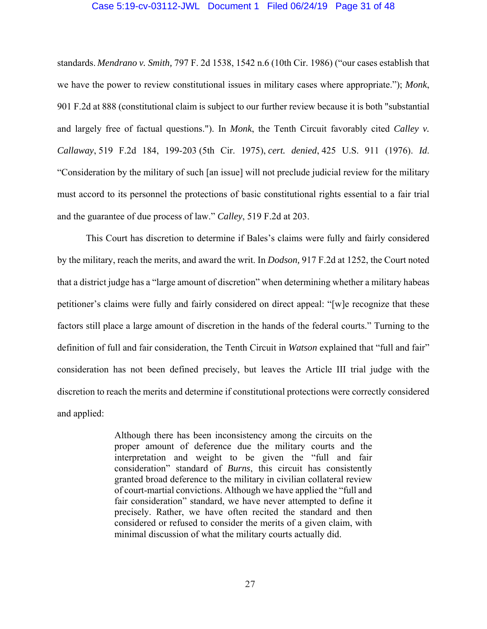#### Case 5:19-cv-03112-JWL Document 1 Filed 06/24/19 Page 31 of 48

standards. *Mendrano v. Smith,* 797 F. 2d 1538, 1542 n.6 (10th Cir. 1986) ("our cases establish that we have the power to review constitutional issues in military cases where appropriate."); *Monk*, 901 F.2d at 888 (constitutional claim is subject to our further review because it is both "substantial and largely free of factual questions."). In *Monk*, the Tenth Circuit favorably cited *Calley v. Callaway*, 519 F.2d 184, 199-203 (5th Cir. 1975), *cert. denied*, 425 U.S. 911 (1976). *Id*. "Consideration by the military of such [an issue] will not preclude judicial review for the military must accord to its personnel the protections of basic constitutional rights essential to a fair trial and the guarantee of due process of law." *Calley*, 519 F.2d at 203.

 This Court has discretion to determine if Bales's claims were fully and fairly considered by the military, reach the merits, and award the writ. In *Dodson,* 917 F.2d at 1252, the Court noted that a district judge has a "large amount of discretion" when determining whether a military habeas petitioner's claims were fully and fairly considered on direct appeal: "[w]e recognize that these factors still place a large amount of discretion in the hands of the federal courts." Turning to the definition of full and fair consideration, the Tenth Circuit in *Watson* explained that "full and fair" consideration has not been defined precisely, but leaves the Article III trial judge with the discretion to reach the merits and determine if constitutional protections were correctly considered and applied:

> Although there has been inconsistency among the circuits on the proper amount of deference due the military courts and the interpretation and weight to be given the "full and fair consideration" standard of *Burns*, this circuit has consistently granted broad deference to the military in civilian collateral review of court-martial convictions. Although we have applied the "full and fair consideration" standard, we have never attempted to define it precisely. Rather, we have often recited the standard and then considered or refused to consider the merits of a given claim, with minimal discussion of what the military courts actually did.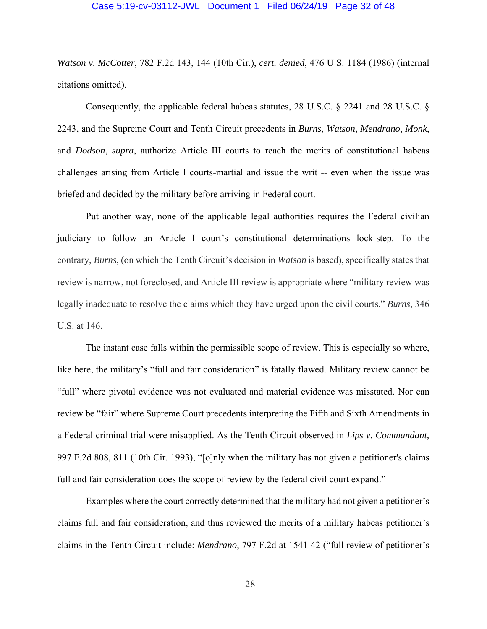#### Case 5:19-cv-03112-JWL Document 1 Filed 06/24/19 Page 32 of 48

*Watson v. McCotter*, 782 F.2d 143, 144 (10th Cir.), *cert. denied*, 476 U S. 1184 (1986) (internal citations omitted).

 Consequently, the applicable federal habeas statutes, 28 U.S.C. § 2241 and 28 U.S.C. § 2243, and the Supreme Court and Tenth Circuit precedents in *Burns*, *Watson, Mendrano*, *Monk*, and *Dodson*, *supra*, authorize Article III courts to reach the merits of constitutional habeas challenges arising from Article I courts-martial and issue the writ -- even when the issue was briefed and decided by the military before arriving in Federal court.

 Put another way, none of the applicable legal authorities requires the Federal civilian judiciary to follow an Article I court's constitutional determinations lock-step. To the contrary, *Burns*, (on which the Tenth Circuit's decision in *Watson* is based), specifically states that review is narrow, not foreclosed, and Article III review is appropriate where "military review was legally inadequate to resolve the claims which they have urged upon the civil courts." *Burns*, 346 U.S. at 146.

 The instant case falls within the permissible scope of review. This is especially so where, like here, the military's "full and fair consideration" is fatally flawed. Military review cannot be "full" where pivotal evidence was not evaluated and material evidence was misstated. Nor can review be "fair" where Supreme Court precedents interpreting the Fifth and Sixth Amendments in a Federal criminal trial were misapplied. As the Tenth Circuit observed in *Lips v. Commandant*, 997 F.2d 808, 811 (10th Cir. 1993), "[o]nly when the military has not given a petitioner's claims full and fair consideration does the scope of review by the federal civil court expand."

 Examples where the court correctly determined that the military had not given a petitioner's claims full and fair consideration, and thus reviewed the merits of a military habeas petitioner's claims in the Tenth Circuit include: *Mendrano*, 797 F.2d at 1541-42 ("full review of petitioner's

28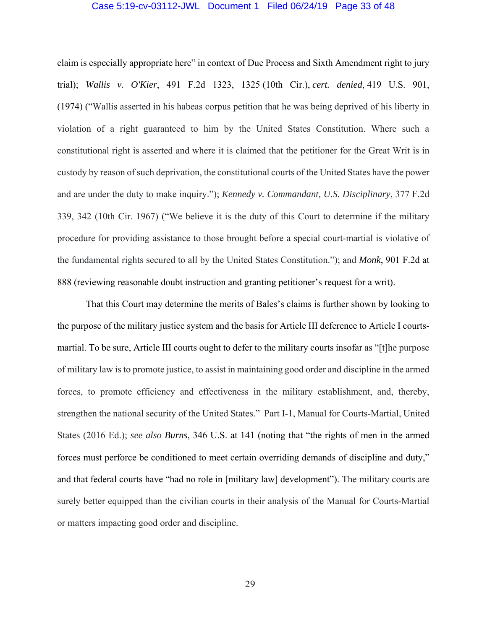#### Case 5:19-cv-03112-JWL Document 1 Filed 06/24/19 Page 33 of 48

claim is especially appropriate here" in context of Due Process and Sixth Amendment right to jury trial); *Wallis v. O'Kier*, 491 F.2d 1323, 1325 (10th Cir.), *cert. denied*, 419 U.S. 901, (1974) ("Wallis asserted in his habeas corpus petition that he was being deprived of his liberty in violation of a right guaranteed to him by the United States Constitution. Where such a constitutional right is asserted and where it is claimed that the petitioner for the Great Writ is in custody by reason of such deprivation, the constitutional courts of the United States have the power and are under the duty to make inquiry."); *Kennedy v. Commandant, U.S. Disciplinary*, 377 F.2d 339, 342 (10th Cir. 1967) ("We believe it is the duty of this Court to determine if the military procedure for providing assistance to those brought before a special court-martial is violative of the fundamental rights secured to all by the United States Constitution."); and *Monk*, 901 F.2d at 888 (reviewing reasonable doubt instruction and granting petitioner's request for a writ).

 That this Court may determine the merits of Bales's claims is further shown by looking to the purpose of the military justice system and the basis for Article III deference to Article I courtsmartial. To be sure, Article III courts ought to defer to the military courts insofar as "[t]he purpose of military law is to promote justice, to assist in maintaining good order and discipline in the armed forces, to promote efficiency and effectiveness in the military establishment, and, thereby, strengthen the national security of the United States." Part I-1, Manual for Courts-Martial, United States (2016 Ed.); *see also Burns*, 346 U.S. at 141 (noting that "the rights of men in the armed forces must perforce be conditioned to meet certain overriding demands of discipline and duty," and that federal courts have "had no role in [military law] development"). The military courts are surely better equipped than the civilian courts in their analysis of the Manual for Courts-Martial or matters impacting good order and discipline.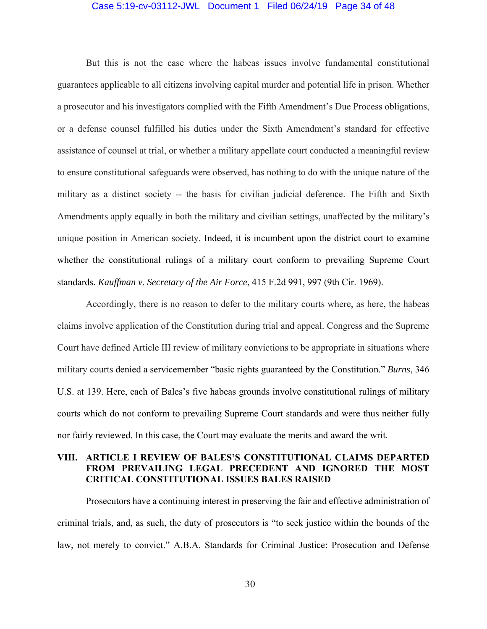#### Case 5:19-cv-03112-JWL Document 1 Filed 06/24/19 Page 34 of 48

 But this is not the case where the habeas issues involve fundamental constitutional guarantees applicable to all citizens involving capital murder and potential life in prison. Whether a prosecutor and his investigators complied with the Fifth Amendment's Due Process obligations, or a defense counsel fulfilled his duties under the Sixth Amendment's standard for effective assistance of counsel at trial, or whether a military appellate court conducted a meaningful review to ensure constitutional safeguards were observed, has nothing to do with the unique nature of the military as a distinct society -- the basis for civilian judicial deference. The Fifth and Sixth Amendments apply equally in both the military and civilian settings, unaffected by the military's unique position in American society. Indeed, it is incumbent upon the district court to examine whether the constitutional rulings of a military court conform to prevailing Supreme Court standards. *Kauffman v. Secretary of the Air Force*, 415 F.2d 991, 997 (9th Cir. 1969).

 Accordingly, there is no reason to defer to the military courts where, as here, the habeas claims involve application of the Constitution during trial and appeal. Congress and the Supreme Court have defined Article III review of military convictions to be appropriate in situations where military courts denied a servicemember "basic rights guaranteed by the Constitution." *Burns*, 346 U.S. at 139. Here, each of Bales's five habeas grounds involve constitutional rulings of military courts which do not conform to prevailing Supreme Court standards and were thus neither fully nor fairly reviewed. In this case, the Court may evaluate the merits and award the writ.

### **VIII. ARTICLE I REVIEW OF BALES'S CONSTITUTIONAL CLAIMS DEPARTED FROM PREVAILING LEGAL PRECEDENT AND IGNORED THE MOST CRITICAL CONSTITUTIONAL ISSUES BALES RAISED**

 Prosecutors have a continuing interest in preserving the fair and effective administration of criminal trials, and, as such, the duty of prosecutors is "to seek justice within the bounds of the law, not merely to convict." A.B.A. Standards for Criminal Justice: Prosecution and Defense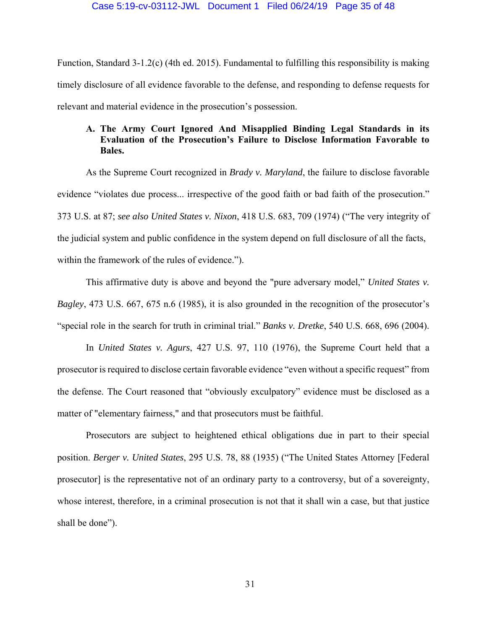Function, Standard 3-1.2(c) (4th ed. 2015). Fundamental to fulfilling this responsibility is making timely disclosure of all evidence favorable to the defense, and responding to defense requests for relevant and material evidence in the prosecution's possession.

## **A. The Army Court Ignored And Misapplied Binding Legal Standards in its Evaluation of the Prosecution's Failure to Disclose Information Favorable to Bales.**

 As the Supreme Court recognized in *Brady v. Maryland*, the failure to disclose favorable evidence "violates due process... irrespective of the good faith or bad faith of the prosecution." 373 U.S. at 87; *see also United States v. Nixon*, 418 U.S. 683, 709 (1974) ("The very integrity of the judicial system and public confidence in the system depend on full disclosure of all the facts, within the framework of the rules of evidence.").

 This affirmative duty is above and beyond the "pure adversary model," *United States v. Bagley*, 473 U.S. 667, 675 n.6 (1985), it is also grounded in the recognition of the prosecutor's "special role in the search for truth in criminal trial." *Banks v. Dretke*, 540 U.S. 668, 696 (2004).

 In *United States v. Agurs*, 427 U.S. 97, 110 (1976), the Supreme Court held that a prosecutor is required to disclose certain favorable evidence "even without a specific request" from the defense. The Court reasoned that "obviously exculpatory" evidence must be disclosed as a matter of "elementary fairness," and that prosecutors must be faithful.

 Prosecutors are subject to heightened ethical obligations due in part to their special position. *Berger v. United States*, 295 U.S. 78, 88 (1935) ("The United States Attorney [Federal prosecutor] is the representative not of an ordinary party to a controversy, but of a sovereignty, whose interest, therefore, in a criminal prosecution is not that it shall win a case, but that justice shall be done").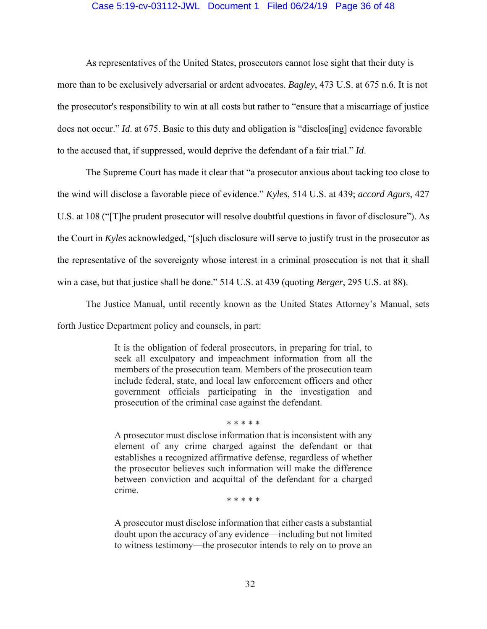#### Case 5:19-cv-03112-JWL Document 1 Filed 06/24/19 Page 36 of 48

 As representatives of the United States, prosecutors cannot lose sight that their duty is more than to be exclusively adversarial or ardent advocates. *Bagley*, 473 U.S. at 675 n.6. It is not the prosecutor's responsibility to win at all costs but rather to "ensure that a miscarriage of justice does not occur." *Id*. at 675. Basic to this duty and obligation is "disclos[ing] evidence favorable to the accused that, if suppressed, would deprive the defendant of a fair trial." *Id*.

 The Supreme Court has made it clear that "a prosecutor anxious about tacking too close to the wind will disclose a favorable piece of evidence." *Kyles*, 514 U.S. at 439; *accord Agurs*, 427 U.S. at 108 ("[T]he prudent prosecutor will resolve doubtful questions in favor of disclosure"). As the Court in *Kyles* acknowledged, "[s]uch disclosure will serve to justify trust in the prosecutor as the representative of the sovereignty whose interest in a criminal prosecution is not that it shall win a case, but that justice shall be done." 514 U.S. at 439 (quoting *Berger*, 295 U.S. at 88).

The Justice Manual, until recently known as the United States Attorney's Manual, sets forth Justice Department policy and counsels, in part:

> It is the obligation of federal prosecutors, in preparing for trial, to seek all exculpatory and impeachment information from all the members of the prosecution team. Members of the prosecution team include federal, state, and local law enforcement officers and other government officials participating in the investigation and prosecution of the criminal case against the defendant.

> A prosecutor must disclose information that is inconsistent with any element of any crime charged against the defendant or that establishes a recognized affirmative defense, regardless of whether the prosecutor believes such information will make the difference between conviction and acquittal of the defendant for a charged crime.

\* \* \* \* \*

\* \* \* \* \*

A prosecutor must disclose information that either casts a substantial doubt upon the accuracy of any evidence—including but not limited to witness testimony—the prosecutor intends to rely on to prove an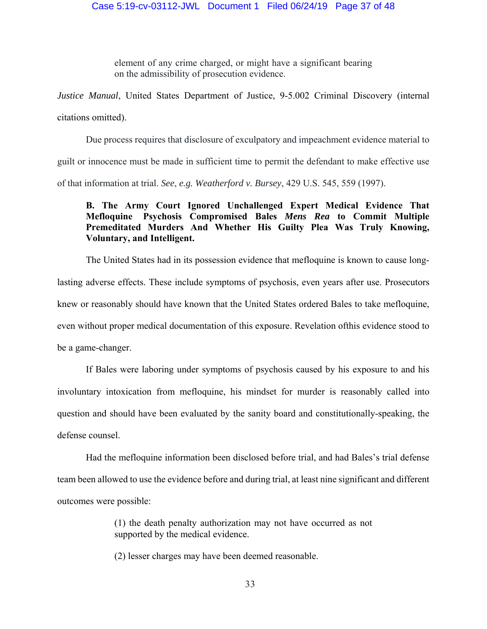element of any crime charged, or might have a significant bearing on the admissibility of prosecution evidence.

*Justice Manual*, United States Department of Justice, 9-5.002 Criminal Discovery (internal citations omitted).

 Due process requires that disclosure of exculpatory and impeachment evidence material to guilt or innocence must be made in sufficient time to permit the defendant to make effective use of that information at trial. *See*, *e.g. Weatherford v. Bursey*, 429 U.S. 545, 559 (1997).

## **B. The Army Court Ignored Unchallenged Expert Medical Evidence That Mefloquine Psychosis Compromised Bales** *Mens Rea* **to Commit Multiple Premeditated Murders And Whether His Guilty Plea Was Truly Knowing, Voluntary, and Intelligent.**

 The United States had in its possession evidence that mefloquine is known to cause longlasting adverse effects. These include symptoms of psychosis, even years after use. Prosecutors knew or reasonably should have known that the United States ordered Bales to take mefloquine, even without proper medical documentation of this exposure. Revelation ofthis evidence stood to be a game-changer.

 If Bales were laboring under symptoms of psychosis caused by his exposure to and his involuntary intoxication from mefloquine, his mindset for murder is reasonably called into question and should have been evaluated by the sanity board and constitutionally-speaking, the defense counsel.

 Had the mefloquine information been disclosed before trial, and had Bales's trial defense team been allowed to use the evidence before and during trial, at least nine significant and different outcomes were possible:

> (1) the death penalty authorization may not have occurred as not supported by the medical evidence.

(2) lesser charges may have been deemed reasonable.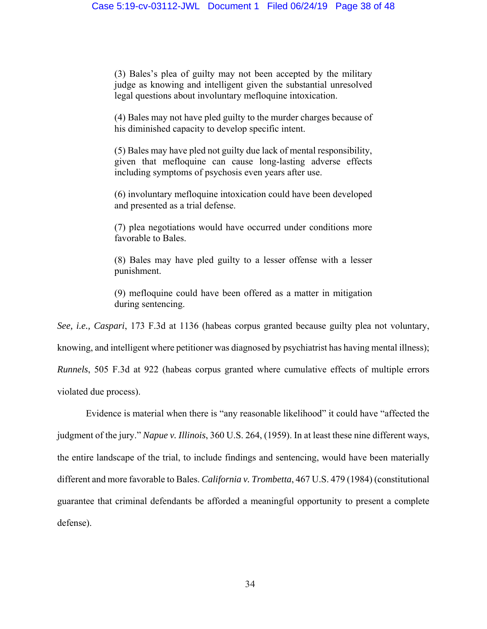(3) Bales's plea of guilty may not been accepted by the military judge as knowing and intelligent given the substantial unresolved legal questions about involuntary mefloquine intoxication.

(4) Bales may not have pled guilty to the murder charges because of his diminished capacity to develop specific intent.

(5) Bales may have pled not guilty due lack of mental responsibility, given that mefloquine can cause long-lasting adverse effects including symptoms of psychosis even years after use.

(6) involuntary mefloquine intoxication could have been developed and presented as a trial defense.

(7) plea negotiations would have occurred under conditions more favorable to Bales.

(8) Bales may have pled guilty to a lesser offense with a lesser punishment.

(9) mefloquine could have been offered as a matter in mitigation during sentencing.

*See, i.e., Caspari*, 173 F.3d at 1136 (habeas corpus granted because guilty plea not voluntary, knowing, and intelligent where petitioner was diagnosed by psychiatrist has having mental illness); *Runnels*, 505 F.3d at 922 (habeas corpus granted where cumulative effects of multiple errors violated due process).

 Evidence is material when there is "any reasonable likelihood" it could have "affected the judgment of the jury." *Napue v. Illinois*, 360 U.S. 264, (1959). In at least these nine different ways, the entire landscape of the trial, to include findings and sentencing, would have been materially different and more favorable to Bales. *California v. Trombetta*, 467 U.S. 479 (1984) (constitutional guarantee that criminal defendants be afforded a meaningful opportunity to present a complete defense).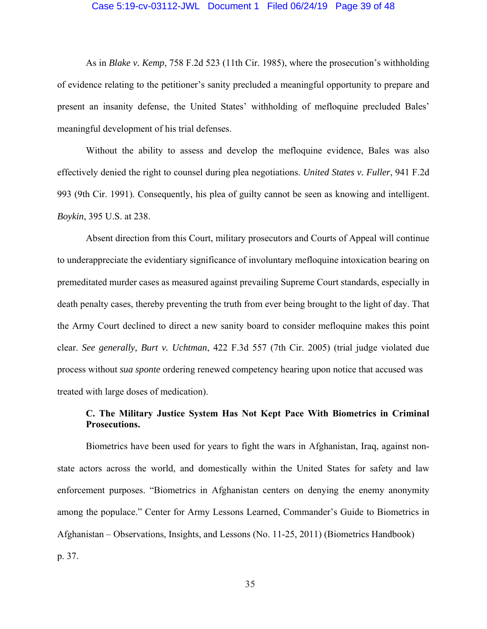#### Case 5:19-cv-03112-JWL Document 1 Filed 06/24/19 Page 39 of 48

 As in *Blake v. Kemp*, 758 F.2d 523 (11th Cir. 1985), where the prosecution's withholding of evidence relating to the petitioner's sanity precluded a meaningful opportunity to prepare and present an insanity defense, the United States' withholding of mefloquine precluded Bales' meaningful development of his trial defenses.

 Without the ability to assess and develop the mefloquine evidence, Bales was also effectively denied the right to counsel during plea negotiations. *United States v. Fuller*, 941 F.2d 993 (9th Cir. 1991). Consequently, his plea of guilty cannot be seen as knowing and intelligent. *Boykin*, 395 U.S. at 238.

 Absent direction from this Court, military prosecutors and Courts of Appeal will continue to underappreciate the evidentiary significance of involuntary mefloquine intoxication bearing on premeditated murder cases as measured against prevailing Supreme Court standards, especially in death penalty cases, thereby preventing the truth from ever being brought to the light of day. That the Army Court declined to direct a new sanity board to consider mefloquine makes this point clear. *See generally, Burt v. Uchtman*, 422 F.3d 557 (7th Cir. 2005) (trial judge violated due process without *sua sponte* ordering renewed competency hearing upon notice that accused was treated with large doses of medication).

## **C. The Military Justice System Has Not Kept Pace With Biometrics in Criminal Prosecutions.**

 Biometrics have been used for years to fight the wars in Afghanistan, Iraq, against nonstate actors across the world, and domestically within the United States for safety and law enforcement purposes. "Biometrics in Afghanistan centers on denying the enemy anonymity among the populace." Center for Army Lessons Learned, Commander's Guide to Biometrics in Afghanistan – Observations, Insights, and Lessons (No. 11-25, 2011) (Biometrics Handbook) p. 37.

35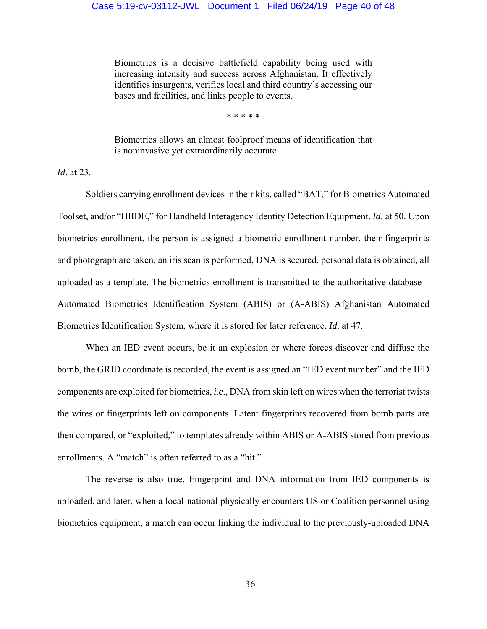Biometrics is a decisive battlefield capability being used with increasing intensity and success across Afghanistan. It effectively identifies insurgents, verifies local and third country's accessing our bases and facilities, and links people to events.

\* \* \* \* \*

Biometrics allows an almost foolproof means of identification that is noninvasive yet extraordinarily accurate.

*Id*. at 23.

 Soldiers carrying enrollment devices in their kits, called "BAT," for Biometrics Automated Toolset, and/or "HIIDE," for Handheld Interagency Identity Detection Equipment. *Id*. at 50. Upon biometrics enrollment, the person is assigned a biometric enrollment number, their fingerprints and photograph are taken, an iris scan is performed, DNA is secured, personal data is obtained, all uploaded as a template. The biometrics enrollment is transmitted to the authoritative database – Automated Biometrics Identification System (ABIS) or (A-ABIS) Afghanistan Automated Biometrics Identification System, where it is stored for later reference. *Id*. at 47.

 When an IED event occurs, be it an explosion or where forces discover and diffuse the bomb, the GRID coordinate is recorded, the event is assigned an "IED event number" and the IED components are exploited for biometrics, *i.e*., DNA from skin left on wires when the terrorist twists the wires or fingerprints left on components. Latent fingerprints recovered from bomb parts are then compared, or "exploited," to templates already within ABIS or A-ABIS stored from previous enrollments. A "match" is often referred to as a "hit."

 The reverse is also true. Fingerprint and DNA information from IED components is uploaded, and later, when a local-national physically encounters US or Coalition personnel using biometrics equipment, a match can occur linking the individual to the previously-uploaded DNA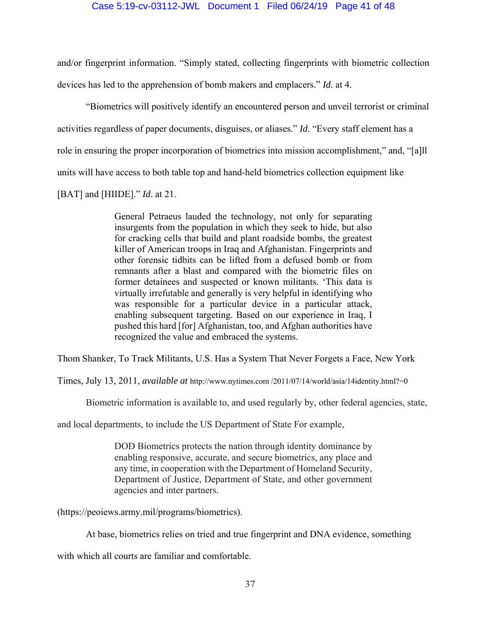and/or fingerprint information. "Simply stated, collecting fingerprints with biometric collection devices has led to the apprehension of bomb makers and emplacers." *Id*. at 4.

 "Biometrics will positively identify an encountered person and unveil terrorist or criminal activities regardless of paper documents, disguises, or aliases." *Id*. "Every staff element has a role in ensuring the proper incorporation of biometrics into mission accomplishment," and, "[a]ll units will have access to both table top and hand-held biometrics collection equipment like

[BAT] and [HIIDE]." *Id*. at 21.

General Petraeus lauded the technology, not only for separating insurgents from the population in which they seek to hide, but also for cracking cells that build and plant roadside bombs, the greatest killer of American troops in Iraq and Afghanistan. Fingerprints and other forensic tidbits can be lifted from a defused bomb or from remnants after a blast and compared with the biometric files on former detainees and suspected or known militants. 'This data is virtually irrefutable and generally is very helpful in identifying who was responsible for a particular device in a particular attack, enabling subsequent targeting. Based on our experience in Iraq, I pushed this hard [for] Afghanistan, too, and Afghan authorities have recognized the value and embraced the systems.

Thom Shanker, To Track Militants, U.S. Has a System That Never Forgets a Face, New York

Times, July 13, 2011, *available at* http://www.nytimes.com /2011/07/14/world/asia/14identity.html?=0

Biometric information is available to, and used regularly by, other federal agencies, state,

and local departments, to include the US Department of State For example,

DOD Biometrics protects the nation through identity dominance by enabling responsive, accurate, and secure biometrics, any place and any time, in cooperation with the Department of Homeland Security, Department of Justice, Department of State, and other government agencies and inter partners.

(https://peoiews.army.mil/programs/biometrics).

At base, biometrics relies on tried and true fingerprint and DNA evidence, something

with which all courts are familiar and comfortable.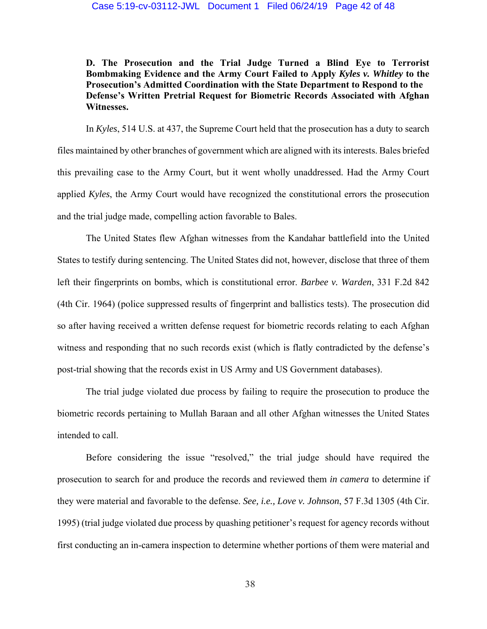**D. The Prosecution and the Trial Judge Turned a Blind Eye to Terrorist Bombmaking Evidence and the Army Court Failed to Apply** *Kyles v. Whitley* **to the Prosecution's Admitted Coordination with the State Department to Respond to the Defense's Written Pretrial Request for Biometric Records Associated with Afghan Witnesses.** 

 In *Kyles*, 514 U.S. at 437, the Supreme Court held that the prosecution has a duty to search files maintained by other branches of government which are aligned with its interests. Bales briefed this prevailing case to the Army Court, but it went wholly unaddressed. Had the Army Court applied *Kyles*, the Army Court would have recognized the constitutional errors the prosecution and the trial judge made, compelling action favorable to Bales.

 The United States flew Afghan witnesses from the Kandahar battlefield into the United States to testify during sentencing. The United States did not, however, disclose that three of them left their fingerprints on bombs, which is constitutional error. *Barbee v. Warden*, 331 F.2d 842 (4th Cir. 1964) (police suppressed results of fingerprint and ballistics tests). The prosecution did so after having received a written defense request for biometric records relating to each Afghan witness and responding that no such records exist (which is flatly contradicted by the defense's post-trial showing that the records exist in US Army and US Government databases).

 The trial judge violated due process by failing to require the prosecution to produce the biometric records pertaining to Mullah Baraan and all other Afghan witnesses the United States intended to call.

 Before considering the issue "resolved," the trial judge should have required the prosecution to search for and produce the records and reviewed them *in camera* to determine if they were material and favorable to the defense. *See, i.e., Love v. Johnson*, 57 F.3d 1305 (4th Cir. 1995) (trial judge violated due process by quashing petitioner's request for agency records without first conducting an in-camera inspection to determine whether portions of them were material and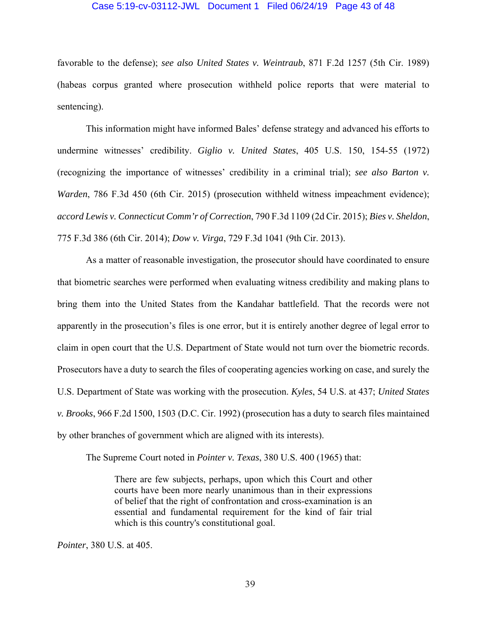#### Case 5:19-cv-03112-JWL Document 1 Filed 06/24/19 Page 43 of 48

favorable to the defense); *see also United States v. Weintraub*, 871 F.2d 1257 (5th Cir. 1989) (habeas corpus granted where prosecution withheld police reports that were material to sentencing).

 This information might have informed Bales' defense strategy and advanced his efforts to undermine witnesses' credibility. *Giglio v. United States*, 405 U.S. 150, 154-55 (1972) (recognizing the importance of witnesses' credibility in a criminal trial); *see also Barton v. Warden*, 786 F.3d 450 (6th Cir. 2015) (prosecution withheld witness impeachment evidence); *accord Lewis v. Connecticut Comm'r of Correction*, 790 F.3d 1109 (2d Cir. 2015); *Bies v. Sheldon*, 775 F.3d 386 (6th Cir. 2014); *Dow v. Virga*, 729 F.3d 1041 (9th Cir. 2013).

 As a matter of reasonable investigation, the prosecutor should have coordinated to ensure that biometric searches were performed when evaluating witness credibility and making plans to bring them into the United States from the Kandahar battlefield. That the records were not apparently in the prosecution's files is one error, but it is entirely another degree of legal error to claim in open court that the U.S. Department of State would not turn over the biometric records. Prosecutors have a duty to search the files of cooperating agencies working on case, and surely the U.S. Department of State was working with the prosecution. *Kyles*, 54 U.S. at 437; *United States v. Brooks*, 966 F.2d 1500, 1503 (D.C. Cir. 1992) (prosecution has a duty to search files maintained by other branches of government which are aligned with its interests).

The Supreme Court noted in *Pointer v. Texas*, 380 U.S. 400 (1965) that:

There are few subjects, perhaps, upon which this Court and other courts have been more nearly unanimous than in their expressions of belief that the right of confrontation and cross-examination is an essential and fundamental requirement for the kind of fair trial which is this country's constitutional goal.

*Pointer*, 380 U.S. at 405.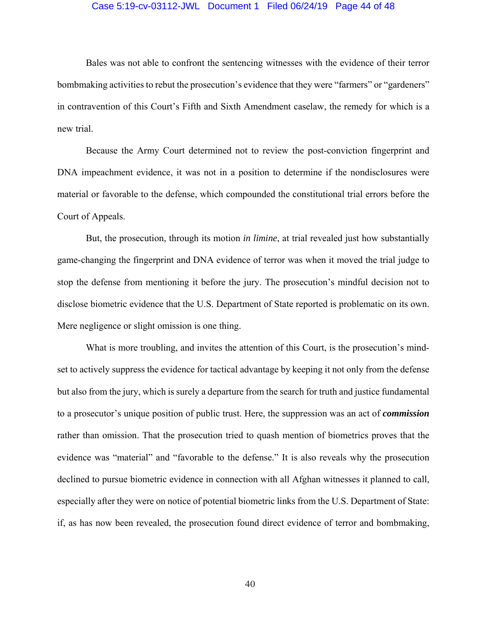#### Case 5:19-cv-03112-JWL Document 1 Filed 06/24/19 Page 44 of 48

 Bales was not able to confront the sentencing witnesses with the evidence of their terror bombmaking activities to rebut the prosecution's evidence that they were "farmers" or "gardeners" in contravention of this Court's Fifth and Sixth Amendment caselaw, the remedy for which is a new trial.

 Because the Army Court determined not to review the post-conviction fingerprint and DNA impeachment evidence, it was not in a position to determine if the nondisclosures were material or favorable to the defense, which compounded the constitutional trial errors before the Court of Appeals.

 But, the prosecution, through its motion *in limine*, at trial revealed just how substantially game-changing the fingerprint and DNA evidence of terror was when it moved the trial judge to stop the defense from mentioning it before the jury. The prosecution's mindful decision not to disclose biometric evidence that the U.S. Department of State reported is problematic on its own. Mere negligence or slight omission is one thing.

 What is more troubling, and invites the attention of this Court, is the prosecution's mindset to actively suppress the evidence for tactical advantage by keeping it not only from the defense but also from the jury, which is surely a departure from the search for truth and justice fundamental to a prosecutor's unique position of public trust. Here, the suppression was an act of *commission* rather than omission. That the prosecution tried to quash mention of biometrics proves that the evidence was "material" and "favorable to the defense." It is also reveals why the prosecution declined to pursue biometric evidence in connection with all Afghan witnesses it planned to call, especially after they were on notice of potential biometric links from the U.S. Department of State: if, as has now been revealed, the prosecution found direct evidence of terror and bombmaking,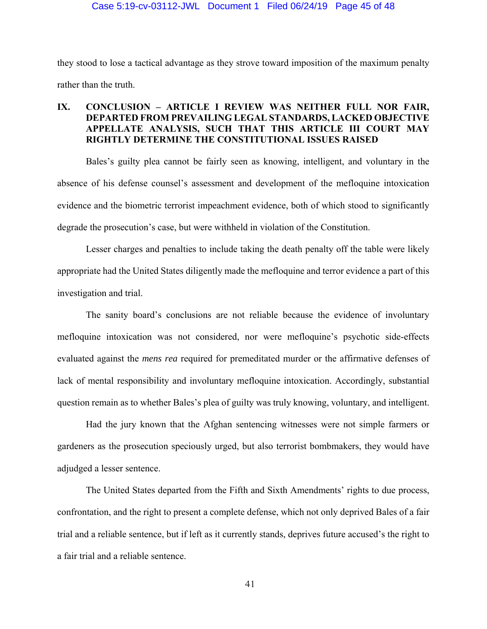they stood to lose a tactical advantage as they strove toward imposition of the maximum penalty rather than the truth.

## **IX. CONCLUSION – ARTICLE I REVIEW WAS NEITHER FULL NOR FAIR, DEPARTED FROM PREVAILING LEGAL STANDARDS, LACKED OBJECTIVE APPELLATE ANALYSIS, SUCH THAT THIS ARTICLE III COURT MAY RIGHTLY DETERMINE THE CONSTITUTIONAL ISSUES RAISED**

 Bales's guilty plea cannot be fairly seen as knowing, intelligent, and voluntary in the absence of his defense counsel's assessment and development of the mefloquine intoxication evidence and the biometric terrorist impeachment evidence, both of which stood to significantly degrade the prosecution's case, but were withheld in violation of the Constitution.

 Lesser charges and penalties to include taking the death penalty off the table were likely appropriate had the United States diligently made the mefloquine and terror evidence a part of this investigation and trial.

 The sanity board's conclusions are not reliable because the evidence of involuntary mefloquine intoxication was not considered, nor were mefloquine's psychotic side-effects evaluated against the *mens rea* required for premeditated murder or the affirmative defenses of lack of mental responsibility and involuntary mefloquine intoxication. Accordingly, substantial question remain as to whether Bales's plea of guilty was truly knowing, voluntary, and intelligent.

 Had the jury known that the Afghan sentencing witnesses were not simple farmers or gardeners as the prosecution speciously urged, but also terrorist bombmakers, they would have adjudged a lesser sentence.

 The United States departed from the Fifth and Sixth Amendments' rights to due process, confrontation, and the right to present a complete defense, which not only deprived Bales of a fair trial and a reliable sentence, but if left as it currently stands, deprives future accused's the right to a fair trial and a reliable sentence.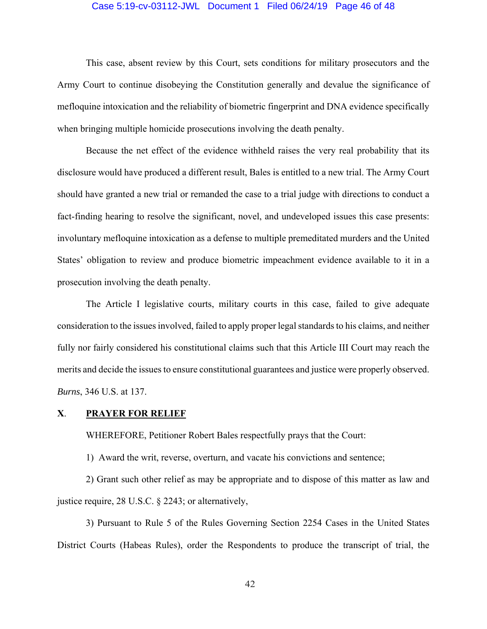#### Case 5:19-cv-03112-JWL Document 1 Filed 06/24/19 Page 46 of 48

 This case, absent review by this Court, sets conditions for military prosecutors and the Army Court to continue disobeying the Constitution generally and devalue the significance of mefloquine intoxication and the reliability of biometric fingerprint and DNA evidence specifically when bringing multiple homicide prosecutions involving the death penalty.

 Because the net effect of the evidence withheld raises the very real probability that its disclosure would have produced a different result, Bales is entitled to a new trial. The Army Court should have granted a new trial or remanded the case to a trial judge with directions to conduct a fact-finding hearing to resolve the significant, novel, and undeveloped issues this case presents: involuntary mefloquine intoxication as a defense to multiple premeditated murders and the United States' obligation to review and produce biometric impeachment evidence available to it in a prosecution involving the death penalty.

 The Article I legislative courts, military courts in this case, failed to give adequate consideration to the issues involved, failed to apply proper legal standards to his claims, and neither fully nor fairly considered his constitutional claims such that this Article III Court may reach the merits and decide the issues to ensure constitutional guarantees and justice were properly observed. *Burns*, 346 U.S. at 137.

#### **X**. **PRAYER FOR RELIEF**

WHEREFORE, Petitioner Robert Bales respectfully prays that the Court:

1) Award the writ, reverse, overturn, and vacate his convictions and sentence;

 2) Grant such other relief as may be appropriate and to dispose of this matter as law and justice require, 28 U.S.C. § 2243; or alternatively,

 3) Pursuant to Rule 5 of the Rules Governing Section 2254 Cases in the United States District Courts (Habeas Rules), order the Respondents to produce the transcript of trial, the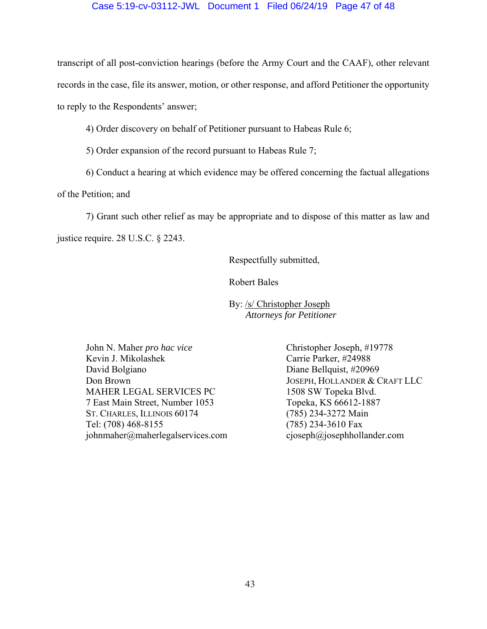### Case 5:19-cv-03112-JWL Document 1 Filed 06/24/19 Page 47 of 48

transcript of all post-conviction hearings (before the Army Court and the CAAF), other relevant records in the case, file its answer, motion, or other response, and afford Petitioner the opportunity to reply to the Respondents' answer;

4) Order discovery on behalf of Petitioner pursuant to Habeas Rule 6;

5) Order expansion of the record pursuant to Habeas Rule 7;

6) Conduct a hearing at which evidence may be offered concerning the factual allegations

of the Petition; and

 7) Grant such other relief as may be appropriate and to dispose of this matter as law and justice require. 28 U.S.C. § 2243.

Respectfully submitted,

Robert Bales

 By: /s/ Christopher Joseph *Attorneys for Petitioner* 

John N. Maher *pro hac vice* Christopher Joseph, #19778 Kevin J. Mikolashek Carrie Parker, #24988 David Bolgiano Diane Bellquist, #20969 Don Brown JOSEPH, HOLLANDER & CRAFT LLC MAHER LEGAL SERVICES PC 1508 SW Topeka Blvd. 7 East Main Street, Number 1053 Topeka, KS 66612-1887 ST. CHARLES, ILLINOIS 60174 (785) 234-3272 Main Tel: (708) 468-8155 (785) 234-3610 Fax johnmaher@maherlegalservices.com cjoseph@josephhollander.com